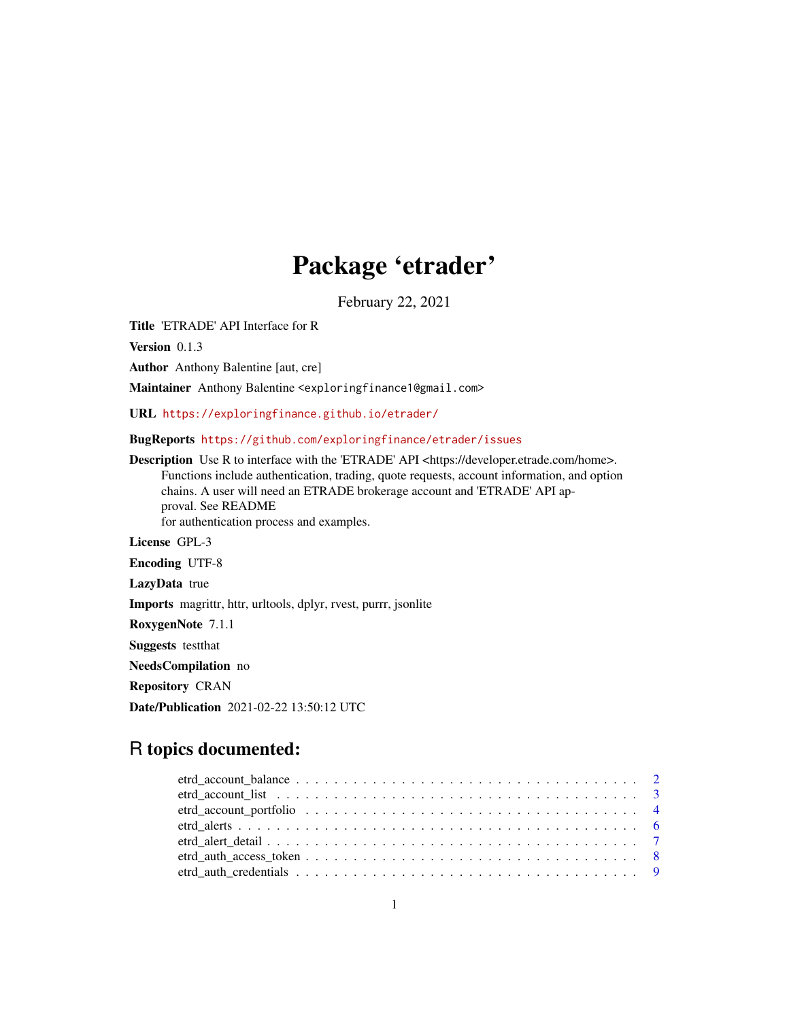# Package 'etrader'

February 22, 2021

Title 'ETRADE' API Interface for R

Version 0.1.3

Author Anthony Balentine [aut, cre]

Maintainer Anthony Balentine <exploringfinance1@gmail.com>

URL <https://exploringfinance.github.io/etrader/>

BugReports <https://github.com/exploringfinance/etrader/issues>

Description Use R to interface with the 'ETRADE' API <https://developer.etrade.com/home>. Functions include authentication, trading, quote requests, account information, and option chains. A user will need an ETRADE brokerage account and 'ETRADE' API approval. See README for authentication process and examples. License GPL-3 Encoding UTF-8 LazyData true Imports magrittr, httr, urltools, dplyr, rvest, purrr, jsonlite RoxygenNote 7.1.1 Suggests testthat NeedsCompilation no Repository CRAN Date/Publication 2021-02-22 13:50:12 UTC

# R topics documented: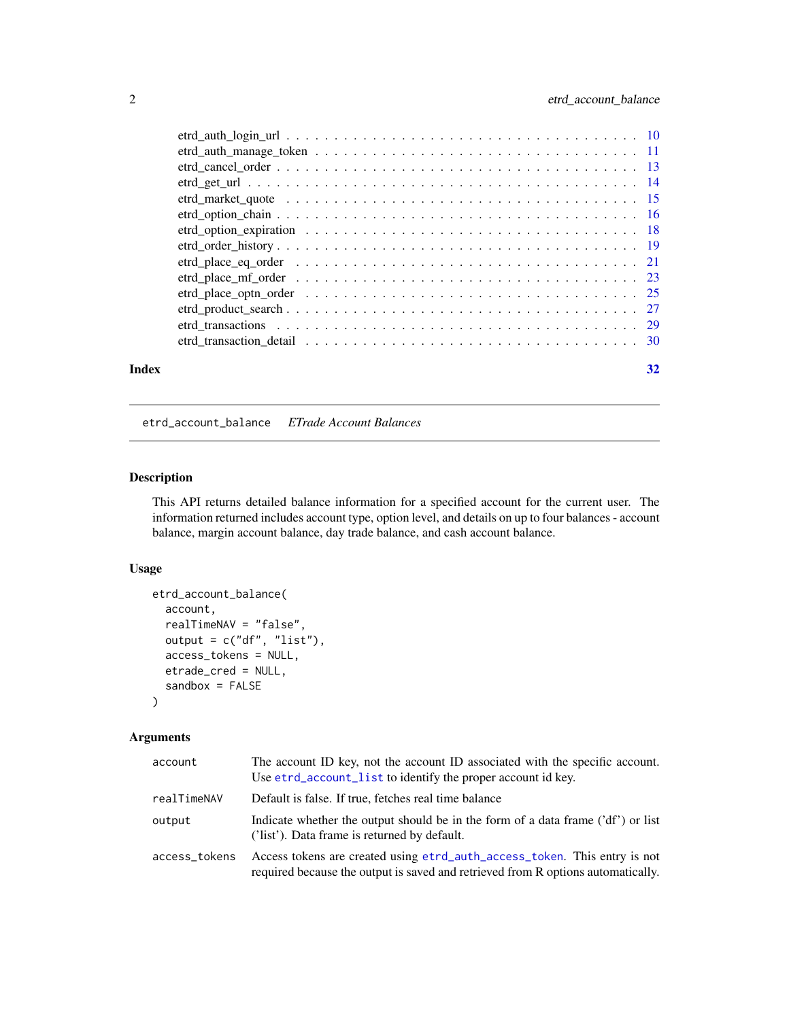<span id="page-1-0"></span>

| Index | 32 |
|-------|----|

etrd\_account\_balance *ETrade Account Balances*

## Description

This API returns detailed balance information for a specified account for the current user. The information returned includes account type, option level, and details on up to four balances - account balance, margin account balance, day trade balance, and cash account balance.

## Usage

```
etrd_account_balance(
  account,
  realTimeNAV = "false",
  output = c("df", "list"),
  access_tokens = NULL,
  etrade_cred = NULL,
  sandbox = FALSE)
```

| account       | The account ID key, not the account ID associated with the specific account.<br>Use etrd_account_list to identify the proper account id key.                  |
|---------------|---------------------------------------------------------------------------------------------------------------------------------------------------------------|
| realTimeNAV   | Default is false. If true, fetches real time balance                                                                                                          |
| output        | Indicate whether the output should be in the form of a data frame ('df') or list<br>('list'). Data frame is returned by default.                              |
| access_tokens | Access tokens are created using etrd_auth_access_token. This entry is not<br>required because the output is saved and retrieved from R options automatically. |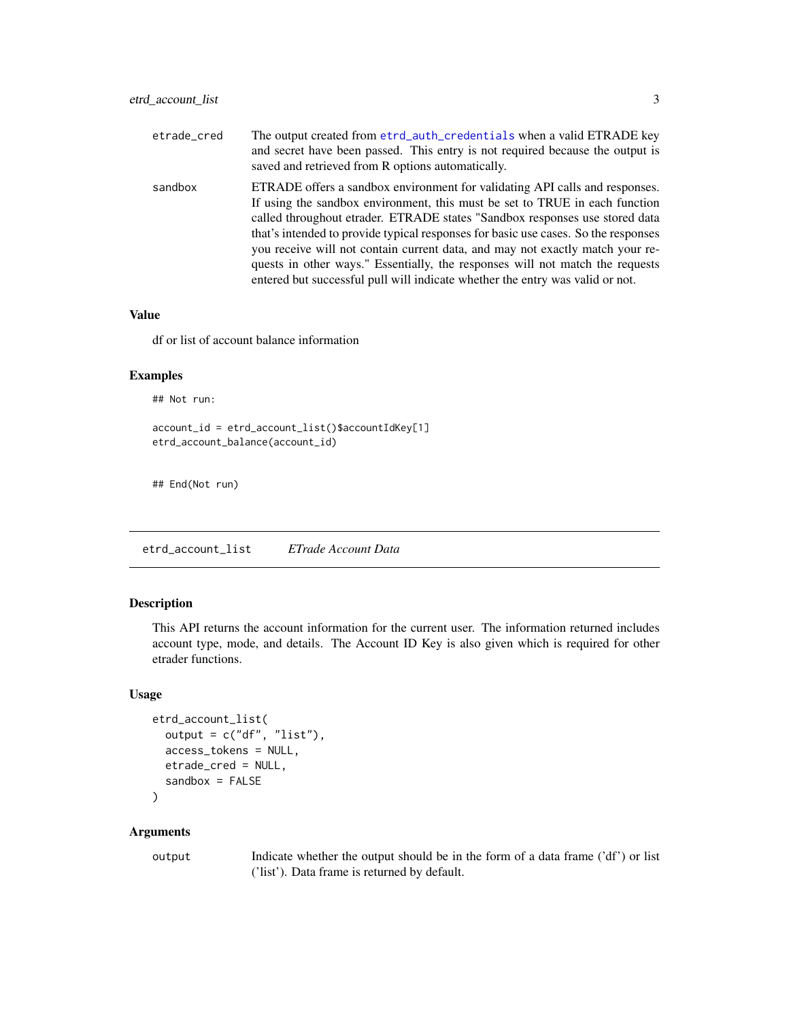<span id="page-2-0"></span>

| etrade_cred | The output created from etrd_auth_credentials when a valid ETRADE key<br>and secret have been passed. This entry is not required because the output is<br>saved and retrieved from R options automatically.                                                                                                                                                                                                                                                                                                                                                                        |
|-------------|------------------------------------------------------------------------------------------------------------------------------------------------------------------------------------------------------------------------------------------------------------------------------------------------------------------------------------------------------------------------------------------------------------------------------------------------------------------------------------------------------------------------------------------------------------------------------------|
| sandbox     | ETRADE offers a sandbox environment for validating API calls and responses.<br>If using the sandbox environment, this must be set to TRUE in each function<br>called throughout etrader. ETRADE states "Sandbox responses use stored data<br>that's intended to provide typical responses for basic use cases. So the responses<br>you receive will not contain current data, and may not exactly match your re-<br>quests in other ways." Essentially, the responses will not match the requests<br>entered but successful pull will indicate whether the entry was valid or not. |

df or list of account balance information

## Examples

## Not run:

```
account_id = etrd_account_list()$accountIdKey[1]
etrd_account_balance(account_id)
```
## End(Not run)

<span id="page-2-1"></span>etrd\_account\_list *ETrade Account Data*

## Description

This API returns the account information for the current user. The information returned includes account type, mode, and details. The Account ID Key is also given which is required for other etrader functions.

## Usage

```
etrd_account_list(
  output = c("df", "list"),
  access_tokens = NULL,
 etrade_cred = NULL,
  sandbox = FALSE)
```
#### Arguments

output Indicate whether the output should be in the form of a data frame ('df') or list ('list'). Data frame is returned by default.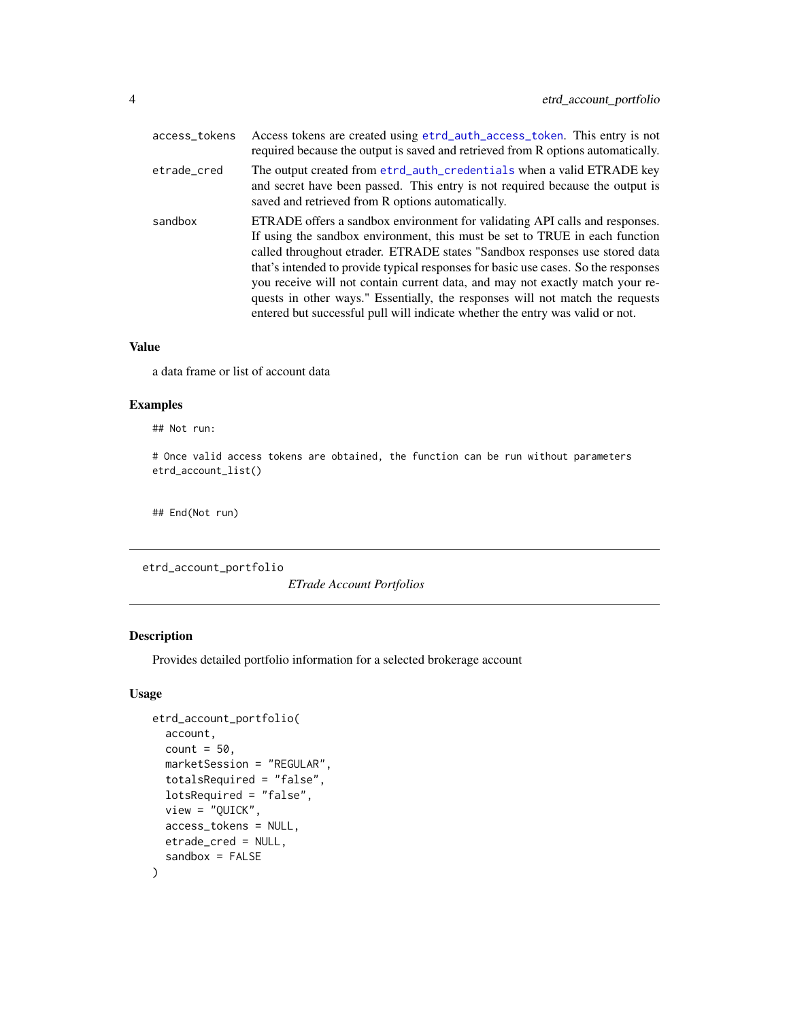<span id="page-3-0"></span>

| access_tokens | Access tokens are created using etrd_auth_access_token. This entry is not<br>required because the output is saved and retrieved from R options automatically.                                                                                                                                                                                                                                                                                                                                                                                                                      |
|---------------|------------------------------------------------------------------------------------------------------------------------------------------------------------------------------------------------------------------------------------------------------------------------------------------------------------------------------------------------------------------------------------------------------------------------------------------------------------------------------------------------------------------------------------------------------------------------------------|
| etrade_cred   | The output created from etrd_auth_credentials when a valid ETRADE key<br>and secret have been passed. This entry is not required because the output is<br>saved and retrieved from R options automatically.                                                                                                                                                                                                                                                                                                                                                                        |
| sandbox       | ETRADE offers a sandbox environment for validating API calls and responses.<br>If using the sandbox environment, this must be set to TRUE in each function<br>called throughout etrader. ETRADE states "Sandbox responses use stored data<br>that's intended to provide typical responses for basic use cases. So the responses<br>you receive will not contain current data, and may not exactly match your re-<br>quests in other ways." Essentially, the responses will not match the requests<br>entered but successful pull will indicate whether the entry was valid or not. |

a data frame or list of account data

### Examples

## Not run:

# Once valid access tokens are obtained, the function can be run without parameters etrd\_account\_list()

## End(Not run)

etrd\_account\_portfolio

*ETrade Account Portfolios*

## Description

Provides detailed portfolio information for a selected brokerage account

## Usage

```
etrd_account_portfolio(
  account,
  count = 50,
  marketSession = "REGULAR",
  totalsRequired = "false",
  lotsRequired = "false",
  view = "QUICK",
  access_tokens = NULL,
 etrade_cred = NULL,
  sandbox = FALSE
)
```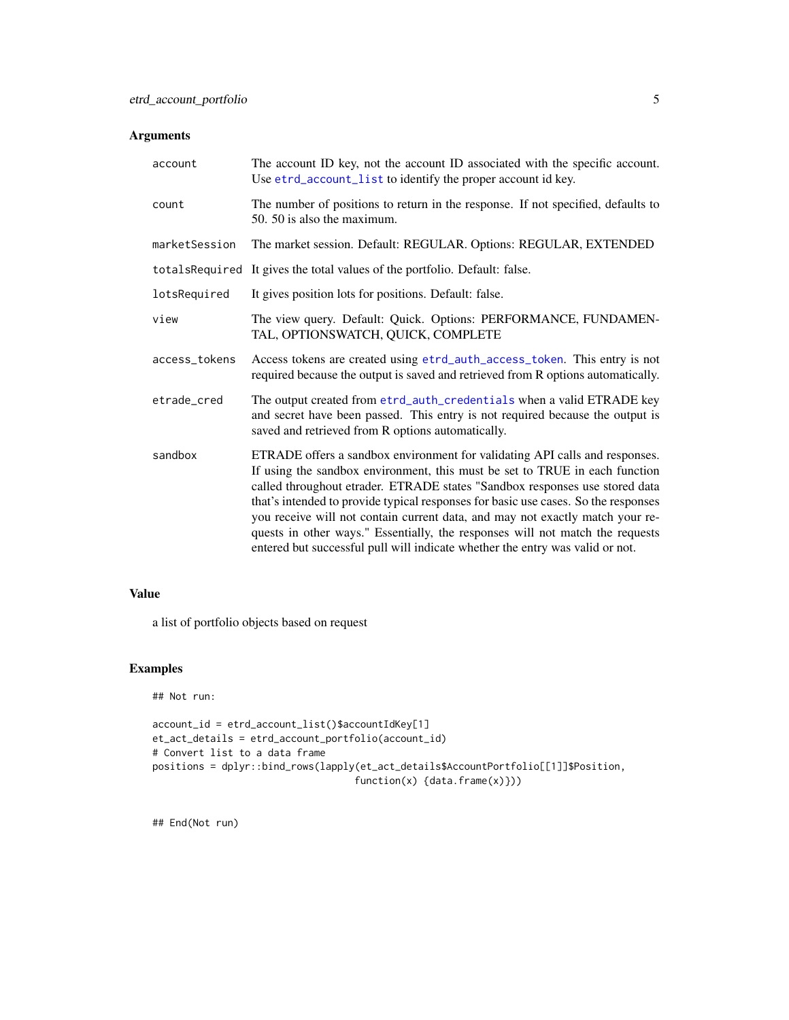# <span id="page-4-0"></span>Arguments

| account       | The account ID key, not the account ID associated with the specific account.<br>Use etrd_account_list to identify the proper account id key.                                                                                                                                                                                                                                                                                                                                                                                                                                       |
|---------------|------------------------------------------------------------------------------------------------------------------------------------------------------------------------------------------------------------------------------------------------------------------------------------------------------------------------------------------------------------------------------------------------------------------------------------------------------------------------------------------------------------------------------------------------------------------------------------|
| count         | The number of positions to return in the response. If not specified, defaults to<br>50. 50 is also the maximum.                                                                                                                                                                                                                                                                                                                                                                                                                                                                    |
| marketSession | The market session. Default: REGULAR. Options: REGULAR, EXTENDED                                                                                                                                                                                                                                                                                                                                                                                                                                                                                                                   |
|               | totalsRequired It gives the total values of the portfolio. Default: false.                                                                                                                                                                                                                                                                                                                                                                                                                                                                                                         |
| lotsRequired  | It gives position lots for positions. Default: false.                                                                                                                                                                                                                                                                                                                                                                                                                                                                                                                              |
| view          | The view query. Default: Quick. Options: PERFORMANCE, FUNDAMEN-<br>TAL, OPTIONSWATCH, QUICK, COMPLETE                                                                                                                                                                                                                                                                                                                                                                                                                                                                              |
| access_tokens | Access tokens are created using etrd_auth_access_token. This entry is not<br>required because the output is saved and retrieved from R options automatically.                                                                                                                                                                                                                                                                                                                                                                                                                      |
| etrade_cred   | The output created from etrd_auth_credentials when a valid ETRADE key<br>and secret have been passed. This entry is not required because the output is<br>saved and retrieved from R options automatically.                                                                                                                                                                                                                                                                                                                                                                        |
| sandbox       | ETRADE offers a sandbox environment for validating API calls and responses.<br>If using the sandbox environment, this must be set to TRUE in each function<br>called throughout etrader. ETRADE states "Sandbox responses use stored data<br>that's intended to provide typical responses for basic use cases. So the responses<br>you receive will not contain current data, and may not exactly match your re-<br>quests in other ways." Essentially, the responses will not match the requests<br>entered but successful pull will indicate whether the entry was valid or not. |

## Value

a list of portfolio objects based on request

# Examples

## Not run:

```
account_id = etrd_account_list()$accountIdKey[1]
et_act_details = etrd_account_portfolio(account_id)
# Convert list to a data frame
positions = dplyr::bind_rows(lapply(et_act_details$AccountPortfolio[[1]]$Position,
                                   function(x) {data.frame(x)}))
```
## End(Not run)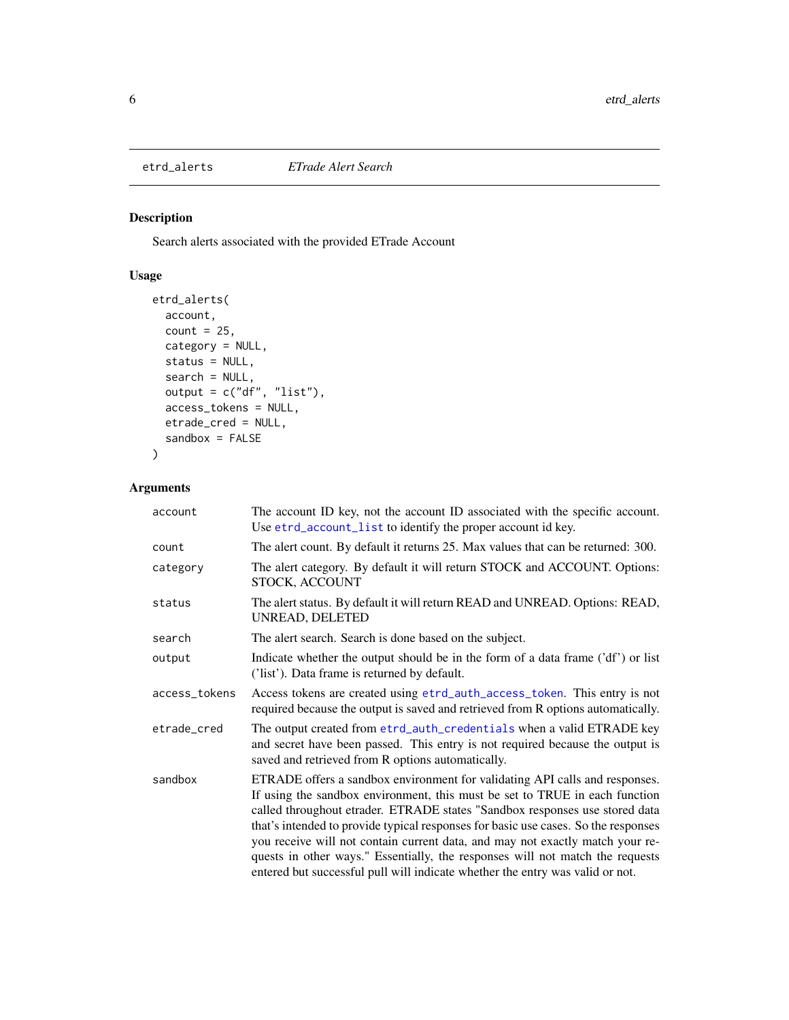<span id="page-5-1"></span><span id="page-5-0"></span>

## Description

Search alerts associated with the provided ETrade Account

## Usage

```
etrd_alerts(
  account,
  count = 25,
  category = NULL,
  status = NULL,
  search = NULL,
  output = c("df", "list"),access_tokens = NULL,
  etrade_cred = NULL,
  sandbox = FALSE
\mathcal{L}
```

| account       | The account ID key, not the account ID associated with the specific account.<br>Use etrd_account_list to identify the proper account id key.                                                                                                                                                                                                                                                                                                                                                                                                                                       |
|---------------|------------------------------------------------------------------------------------------------------------------------------------------------------------------------------------------------------------------------------------------------------------------------------------------------------------------------------------------------------------------------------------------------------------------------------------------------------------------------------------------------------------------------------------------------------------------------------------|
| count         | The alert count. By default it returns 25. Max values that can be returned: 300.                                                                                                                                                                                                                                                                                                                                                                                                                                                                                                   |
| category      | The alert category. By default it will return STOCK and ACCOUNT. Options:<br>STOCK, ACCOUNT                                                                                                                                                                                                                                                                                                                                                                                                                                                                                        |
| status        | The alert status. By default it will return READ and UNREAD. Options: READ,<br>UNREAD, DELETED                                                                                                                                                                                                                                                                                                                                                                                                                                                                                     |
| search        | The alert search. Search is done based on the subject.                                                                                                                                                                                                                                                                                                                                                                                                                                                                                                                             |
| output        | Indicate whether the output should be in the form of a data frame ('df') or list<br>('list'). Data frame is returned by default.                                                                                                                                                                                                                                                                                                                                                                                                                                                   |
| access_tokens | Access tokens are created using etrd_auth_access_token. This entry is not<br>required because the output is saved and retrieved from R options automatically.                                                                                                                                                                                                                                                                                                                                                                                                                      |
| etrade_cred   | The output created from etrd_auth_credentials when a valid ETRADE key<br>and secret have been passed. This entry is not required because the output is<br>saved and retrieved from R options automatically.                                                                                                                                                                                                                                                                                                                                                                        |
| sandbox       | ETRADE offers a sandbox environment for validating API calls and responses.<br>If using the sandbox environment, this must be set to TRUE in each function<br>called throughout etrader. ETRADE states "Sandbox responses use stored data<br>that's intended to provide typical responses for basic use cases. So the responses<br>you receive will not contain current data, and may not exactly match your re-<br>quests in other ways." Essentially, the responses will not match the requests<br>entered but successful pull will indicate whether the entry was valid or not. |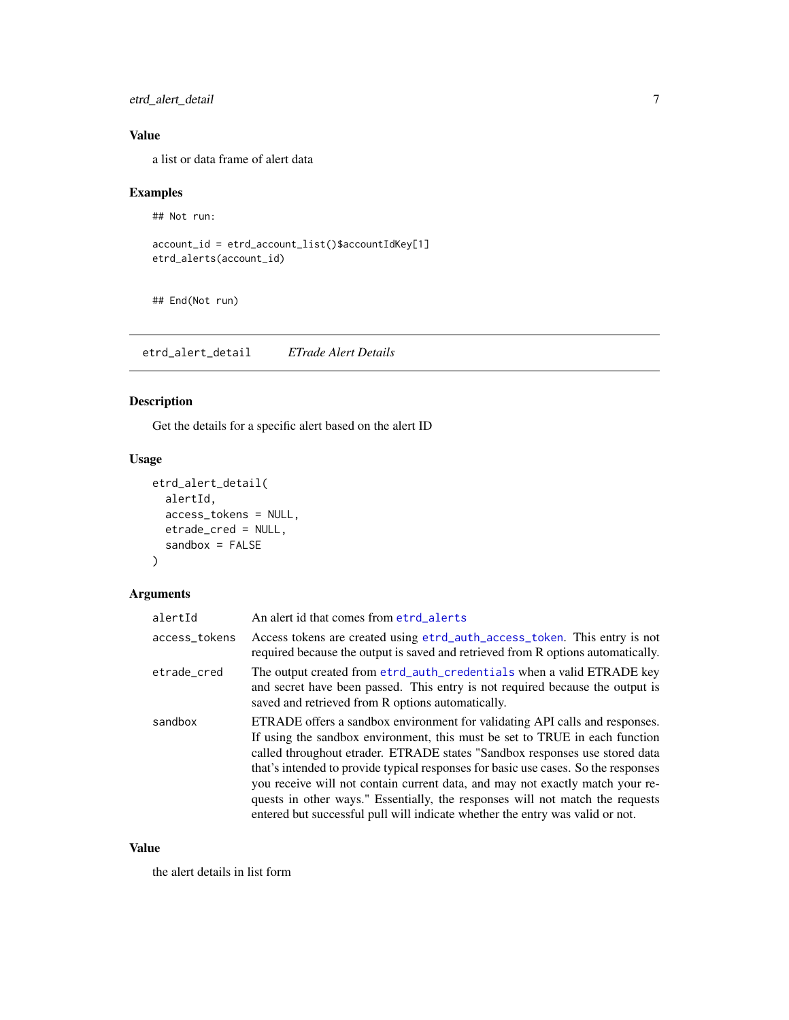<span id="page-6-0"></span>etrd\_alert\_detail 7

# Value

a list or data frame of alert data

## Examples

## Not run:

```
account_id = etrd_account_list()$accountIdKey[1]
etrd_alerts(account_id)
```
## End(Not run)

etrd\_alert\_detail *ETrade Alert Details*

## Description

Get the details for a specific alert based on the alert ID

## Usage

```
etrd_alert_detail(
  alertId,
  access_tokens = NULL,
  etrade_cred = NULL,
  sandbox = FALSE\mathcal{L}
```
## Arguments

| alertId       | An alert id that comes from etrd_alerts                                                                                                                                                                                                                                                                                                                                                                                                                                                                                                                                            |
|---------------|------------------------------------------------------------------------------------------------------------------------------------------------------------------------------------------------------------------------------------------------------------------------------------------------------------------------------------------------------------------------------------------------------------------------------------------------------------------------------------------------------------------------------------------------------------------------------------|
| access_tokens | Access tokens are created using etrd_auth_access_token. This entry is not<br>required because the output is saved and retrieved from R options automatically.                                                                                                                                                                                                                                                                                                                                                                                                                      |
| etrade cred   | The output created from etrd_auth_credentials when a valid ETRADE key<br>and secret have been passed. This entry is not required because the output is<br>saved and retrieved from R options automatically.                                                                                                                                                                                                                                                                                                                                                                        |
| sandbox       | ETRADE offers a sandbox environment for validating API calls and responses.<br>If using the sandbox environment, this must be set to TRUE in each function<br>called throughout etrader. ETRADE states "Sandbox responses use stored data<br>that's intended to provide typical responses for basic use cases. So the responses<br>you receive will not contain current data, and may not exactly match your re-<br>quests in other ways." Essentially, the responses will not match the requests<br>entered but successful pull will indicate whether the entry was valid or not. |

## Value

the alert details in list form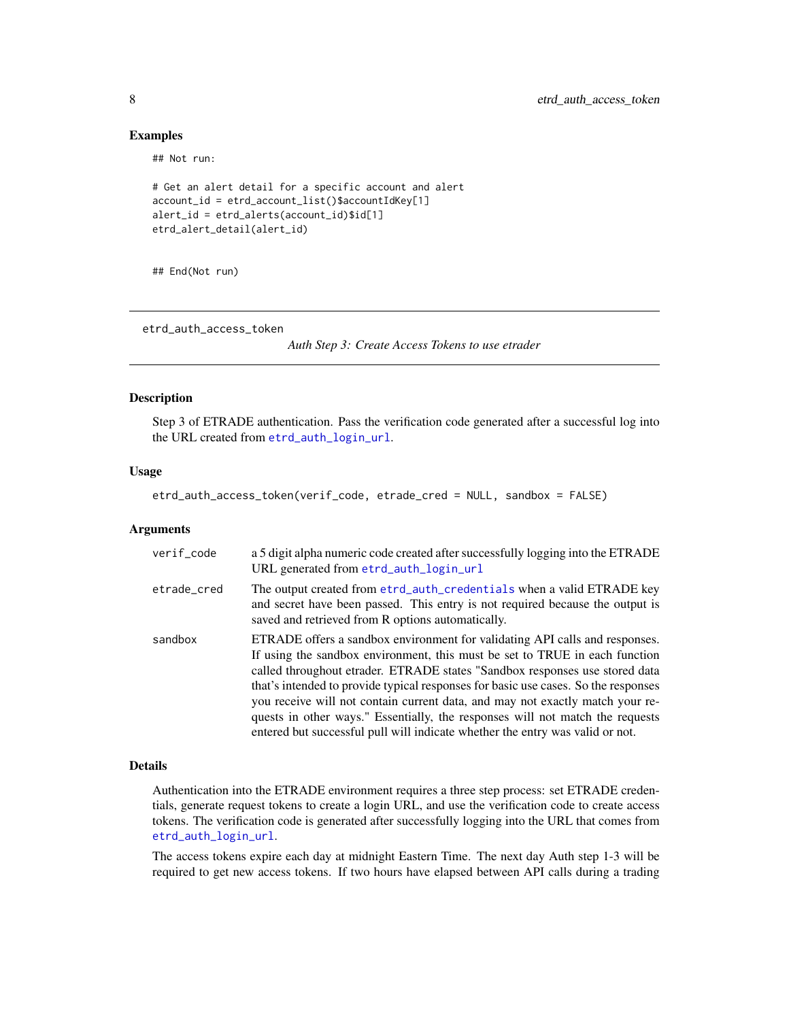#### Examples

## Not run:

```
# Get an alert detail for a specific account and alert
account_id = etrd_account_list()$accountIdKey[1]
alert_id = etrd_alerts(account_id)$id[1]
etrd_alert_detail(alert_id)
```
## End(Not run)

<span id="page-7-1"></span>etrd\_auth\_access\_token

*Auth Step 3: Create Access Tokens to use etrader*

#### Description

Step 3 of ETRADE authentication. Pass the verification code generated after a successful log into the URL created from [etrd\\_auth\\_login\\_url](#page-9-1).

#### Usage

etrd\_auth\_access\_token(verif\_code, etrade\_cred = NULL, sandbox = FALSE)

#### **Arguments**

| verif_code  | a 5 digit alpha numeric code created after successfully logging into the ETRADE<br>URL generated from etrd_auth_login_url                                                                                                                                                                                                                                                                                                                                                                                                                                                          |
|-------------|------------------------------------------------------------------------------------------------------------------------------------------------------------------------------------------------------------------------------------------------------------------------------------------------------------------------------------------------------------------------------------------------------------------------------------------------------------------------------------------------------------------------------------------------------------------------------------|
| etrade cred | The output created from etrd_auth_credentials when a valid ETRADE key<br>and secret have been passed. This entry is not required because the output is<br>saved and retrieved from R options automatically.                                                                                                                                                                                                                                                                                                                                                                        |
| sandbox     | ETRADE offers a sandbox environment for validating API calls and responses.<br>If using the sandbox environment, this must be set to TRUE in each function<br>called throughout etrader. ETRADE states "Sandbox responses use stored data<br>that's intended to provide typical responses for basic use cases. So the responses<br>you receive will not contain current data, and may not exactly match your re-<br>quests in other ways." Essentially, the responses will not match the requests<br>entered but successful pull will indicate whether the entry was valid or not. |

#### Details

Authentication into the ETRADE environment requires a three step process: set ETRADE credentials, generate request tokens to create a login URL, and use the verification code to create access tokens. The verification code is generated after successfully logging into the URL that comes from [etrd\\_auth\\_login\\_url](#page-9-1).

The access tokens expire each day at midnight Eastern Time. The next day Auth step 1-3 will be required to get new access tokens. If two hours have elapsed between API calls during a trading

<span id="page-7-0"></span>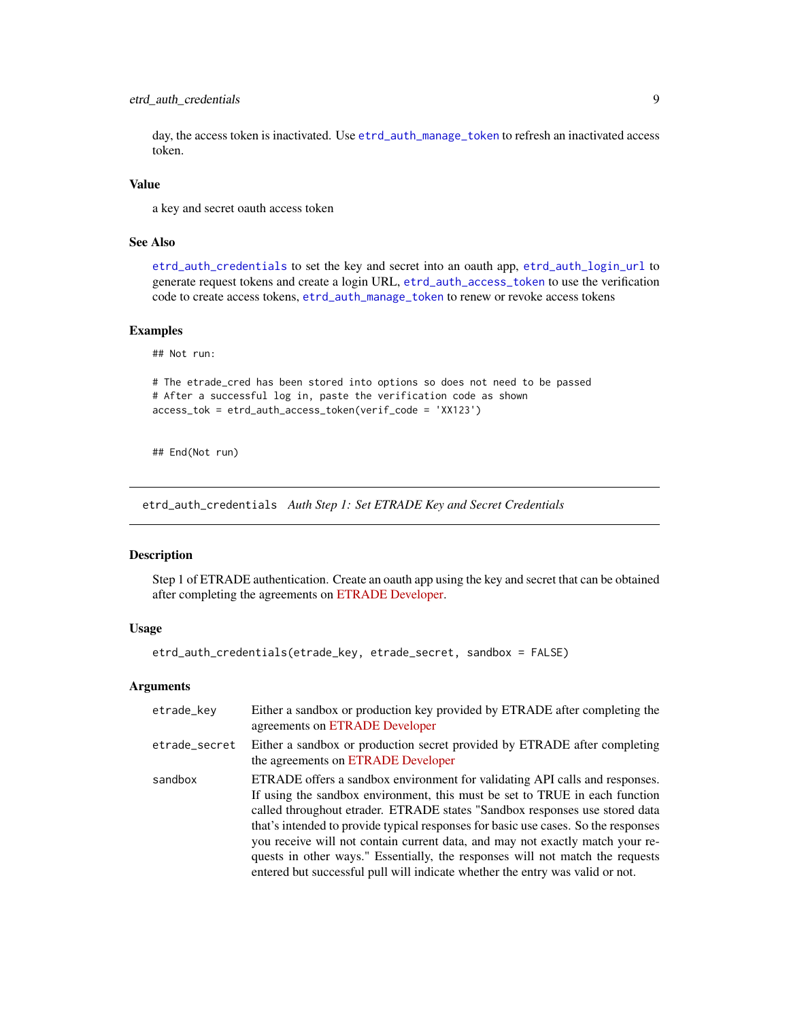## <span id="page-8-0"></span>etrd\_auth\_credentials 9

day, the access token is inactivated. Use [etrd\\_auth\\_manage\\_token](#page-10-1) to refresh an inactivated access token.

#### Value

a key and secret oauth access token

## See Also

[etrd\\_auth\\_credentials](#page-8-1) to set the key and secret into an oauth app, [etrd\\_auth\\_login\\_url](#page-9-1) to generate request tokens and create a login URL, [etrd\\_auth\\_access\\_token](#page-7-1) to use the verification code to create access tokens, [etrd\\_auth\\_manage\\_token](#page-10-1) to renew or revoke access tokens

#### Examples

## Not run:

# The etrade\_cred has been stored into options so does not need to be passed # After a successful log in, paste the verification code as shown access\_tok = etrd\_auth\_access\_token(verif\_code = 'XX123')

## End(Not run)

<span id="page-8-1"></span>etrd\_auth\_credentials *Auth Step 1: Set ETRADE Key and Secret Credentials*

#### Description

Step 1 of ETRADE authentication. Create an oauth app using the key and secret that can be obtained after completing the agreements on [ETRADE Developer.](https://developer.etrade.com/getting-started)

#### Usage

```
etrd_auth_credentials(etrade_key, etrade_secret, sandbox = FALSE)
```

| etrade_key    | Either a sandbox or production key provided by ETRADE after completing the<br>agreements on ETRADE Developer                                                                                                                                                                                                                                                                                                                                                                                                                                                                       |
|---------------|------------------------------------------------------------------------------------------------------------------------------------------------------------------------------------------------------------------------------------------------------------------------------------------------------------------------------------------------------------------------------------------------------------------------------------------------------------------------------------------------------------------------------------------------------------------------------------|
| etrade_secret | Either a sandbox or production secret provided by ETRADE after completing<br>the agreements on ETRADE Developer                                                                                                                                                                                                                                                                                                                                                                                                                                                                    |
| sandbox       | ETRADE offers a sandbox environment for validating API calls and responses.<br>If using the sandbox environment, this must be set to TRUE in each function<br>called throughout etrader. ETRADE states "Sandbox responses use stored data<br>that's intended to provide typical responses for basic use cases. So the responses<br>you receive will not contain current data, and may not exactly match your re-<br>quests in other ways." Essentially, the responses will not match the requests<br>entered but successful pull will indicate whether the entry was valid or not. |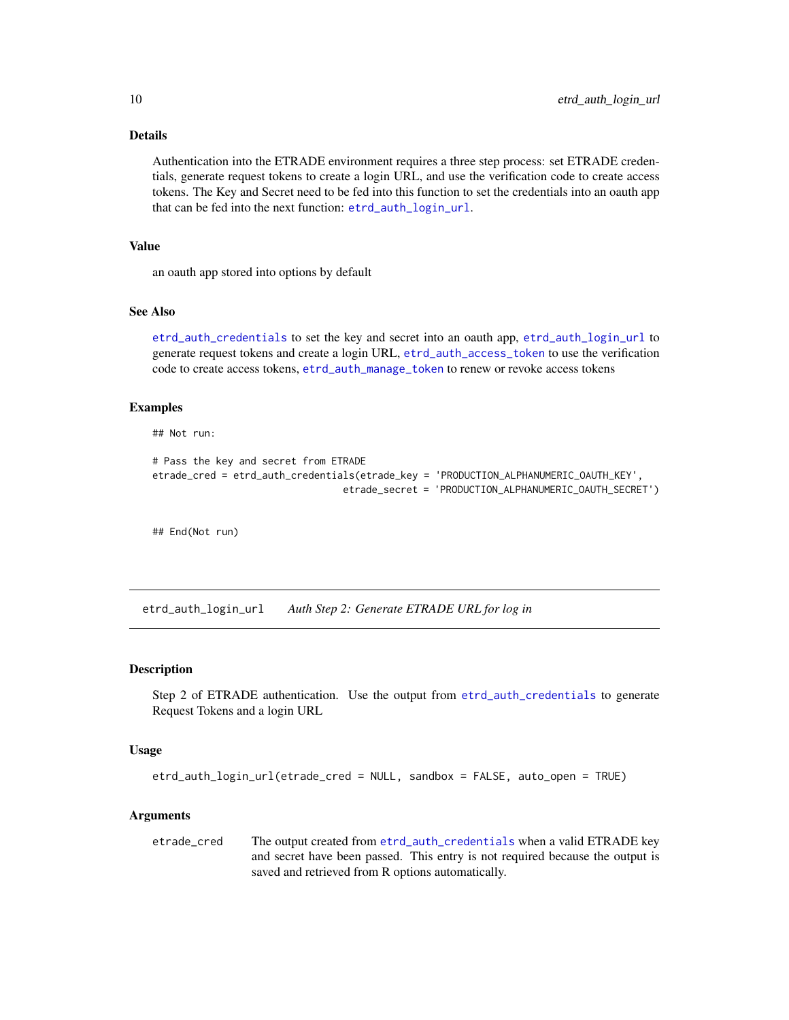# Details

Authentication into the ETRADE environment requires a three step process: set ETRADE credentials, generate request tokens to create a login URL, and use the verification code to create access tokens. The Key and Secret need to be fed into this function to set the credentials into an oauth app that can be fed into the next function: [etrd\\_auth\\_login\\_url](#page-9-1).

## Value

an oauth app stored into options by default

## See Also

[etrd\\_auth\\_credentials](#page-8-1) to set the key and secret into an oauth app, [etrd\\_auth\\_login\\_url](#page-9-1) to generate request tokens and create a login URL, [etrd\\_auth\\_access\\_token](#page-7-1) to use the verification code to create access tokens, [etrd\\_auth\\_manage\\_token](#page-10-1) to renew or revoke access tokens

#### Examples

## Not run:

```
# Pass the key and secret from ETRADE
etrade_cred = etrd_auth_credentials(etrade_key = 'PRODUCTION_ALPHANUMERIC_OAUTH_KEY',
                                 etrade_secret = 'PRODUCTION_ALPHANUMERIC_OAUTH_SECRET')
```
## End(Not run)

<span id="page-9-1"></span>etrd\_auth\_login\_url *Auth Step 2: Generate ETRADE URL for log in*

#### Description

Step 2 of ETRADE authentication. Use the output from [etrd\\_auth\\_credentials](#page-8-1) to generate Request Tokens and a login URL

#### Usage

```
etrd_auth_login_url(etrade_cred = NULL, sandbox = FALSE, auto_open = TRUE)
```
#### Arguments

etrade\_cred The output created from [etrd\\_auth\\_credentials](#page-8-1) when a valid ETRADE key and secret have been passed. This entry is not required because the output is saved and retrieved from R options automatically.

<span id="page-9-0"></span>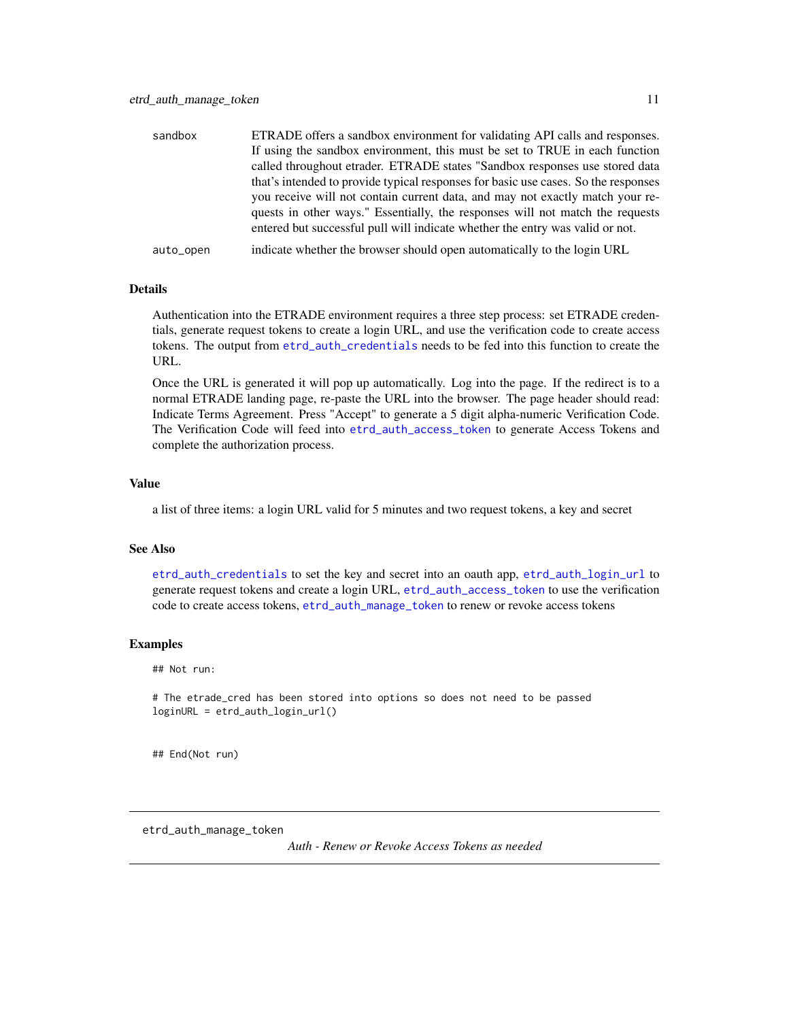<span id="page-10-0"></span>

| sandbox   | ETRADE offers a sandbox environment for validating API calls and responses.        |
|-----------|------------------------------------------------------------------------------------|
|           | If using the sandbox environment, this must be set to TRUE in each function        |
|           | called throughout etrader. ETRADE states "Sandbox responses use stored data        |
|           | that's intended to provide typical responses for basic use cases. So the responses |
|           | you receive will not contain current data, and may not exactly match your re-      |
|           | quests in other ways." Essentially, the responses will not match the requests      |
|           | entered but successful pull will indicate whether the entry was valid or not.      |
| auto_open | indicate whether the browser should open automatically to the login URL            |

#### Details

Authentication into the ETRADE environment requires a three step process: set ETRADE credentials, generate request tokens to create a login URL, and use the verification code to create access tokens. The output from [etrd\\_auth\\_credentials](#page-8-1) needs to be fed into this function to create the URL.

Once the URL is generated it will pop up automatically. Log into the page. If the redirect is to a normal ETRADE landing page, re-paste the URL into the browser. The page header should read: Indicate Terms Agreement. Press "Accept" to generate a 5 digit alpha-numeric Verification Code. The Verification Code will feed into [etrd\\_auth\\_access\\_token](#page-7-1) to generate Access Tokens and complete the authorization process.

### Value

a list of three items: a login URL valid for 5 minutes and two request tokens, a key and secret

### See Also

[etrd\\_auth\\_credentials](#page-8-1) to set the key and secret into an oauth app, [etrd\\_auth\\_login\\_url](#page-9-1) to generate request tokens and create a login URL, [etrd\\_auth\\_access\\_token](#page-7-1) to use the verification code to create access tokens, [etrd\\_auth\\_manage\\_token](#page-10-1) to renew or revoke access tokens

### Examples

## Not run:

# The etrade\_cred has been stored into options so does not need to be passed loginURL = etrd\_auth\_login\_url()

## End(Not run)

<span id="page-10-1"></span>etrd\_auth\_manage\_token

*Auth - Renew or Revoke Access Tokens as needed*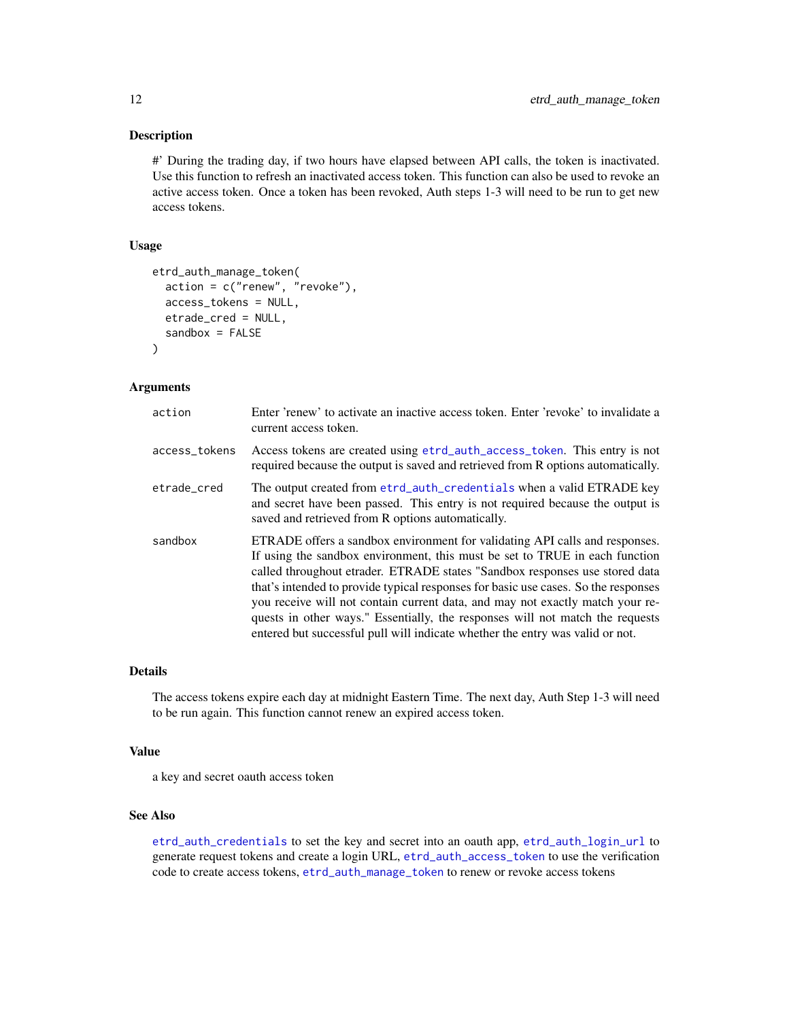#### <span id="page-11-0"></span>Description

#' During the trading day, if two hours have elapsed between API calls, the token is inactivated. Use this function to refresh an inactivated access token. This function can also be used to revoke an active access token. Once a token has been revoked, Auth steps 1-3 will need to be run to get new access tokens.

#### Usage

```
etrd_auth_manage_token(
  action = c("renew", "revoke"),
  access_tokens = NULL,
  etrade_cred = NULL,
  sandbox = FALSE)
```
#### Arguments

| action        | Enter 'renew' to activate an inactive access token. Enter 'revoke' to invalidate a<br>current access token.                                                                                                                                                                                                                                                                                                                                                                                                                                                                        |
|---------------|------------------------------------------------------------------------------------------------------------------------------------------------------------------------------------------------------------------------------------------------------------------------------------------------------------------------------------------------------------------------------------------------------------------------------------------------------------------------------------------------------------------------------------------------------------------------------------|
| access_tokens | Access tokens are created using etrd_auth_access_token. This entry is not<br>required because the output is saved and retrieved from R options automatically.                                                                                                                                                                                                                                                                                                                                                                                                                      |
| etrade cred   | The output created from etrd_auth_credentials when a valid ETRADE key<br>and secret have been passed. This entry is not required because the output is<br>saved and retrieved from R options automatically.                                                                                                                                                                                                                                                                                                                                                                        |
| sandbox       | ETRADE offers a sandbox environment for validating API calls and responses.<br>If using the sandbox environment, this must be set to TRUE in each function<br>called throughout etrader. ETRADE states "Sandbox responses use stored data<br>that's intended to provide typical responses for basic use cases. So the responses<br>you receive will not contain current data, and may not exactly match your re-<br>quests in other ways." Essentially, the responses will not match the requests<br>entered but successful pull will indicate whether the entry was valid or not. |

#### Details

The access tokens expire each day at midnight Eastern Time. The next day, Auth Step 1-3 will need to be run again. This function cannot renew an expired access token.

#### Value

a key and secret oauth access token

#### See Also

[etrd\\_auth\\_credentials](#page-8-1) to set the key and secret into an oauth app, [etrd\\_auth\\_login\\_url](#page-9-1) to generate request tokens and create a login URL, [etrd\\_auth\\_access\\_token](#page-7-1) to use the verification code to create access tokens, [etrd\\_auth\\_manage\\_token](#page-10-1) to renew or revoke access tokens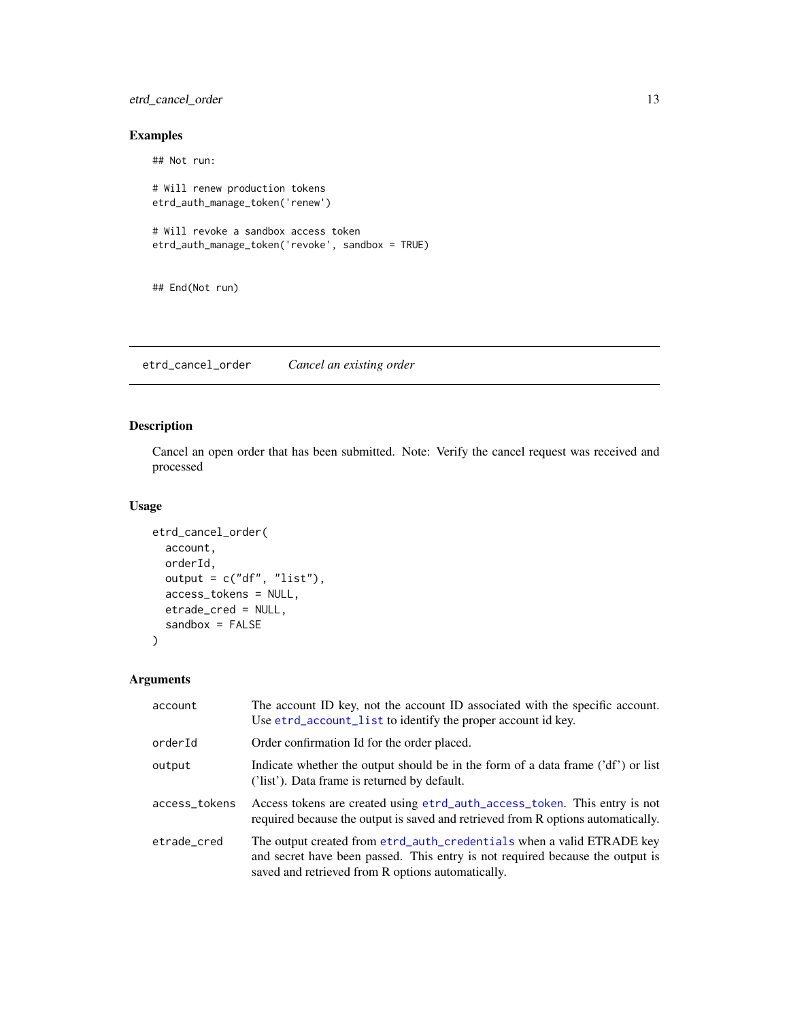## <span id="page-12-0"></span>etrd\_cancel\_order 13

# Examples

## Not run: # Will renew production tokens etrd\_auth\_manage\_token('renew') # Will revoke a sandbox access token etrd\_auth\_manage\_token('revoke', sandbox = TRUE)

## End(Not run)

etrd\_cancel\_order *Cancel an existing order*

## Description

Cancel an open order that has been submitted. Note: Verify the cancel request was received and processed

## Usage

```
etrd_cancel_order(
 account,
 orderId,
 output = c("df", "list"),access_tokens = NULL,
 etrade_cred = NULL,
  sandbox = FALSE)
```

| account       | The account ID key, not the account ID associated with the specific account.<br>Use etrd_account_list to identify the proper account id key.                                                                |
|---------------|-------------------------------------------------------------------------------------------------------------------------------------------------------------------------------------------------------------|
| orderId       | Order confirmation Id for the order placed.                                                                                                                                                                 |
| output        | Indicate whether the output should be in the form of a data frame $(\text{def}')$ or list<br>('list'). Data frame is returned by default.                                                                   |
| access_tokens | Access tokens are created using etrd_auth_access_token. This entry is not<br>required because the output is saved and retrieved from R options automatically.                                               |
| etrade_cred   | The output created from etrd_auth_credentials when a valid ETRADE key<br>and secret have been passed. This entry is not required because the output is<br>saved and retrieved from R options automatically. |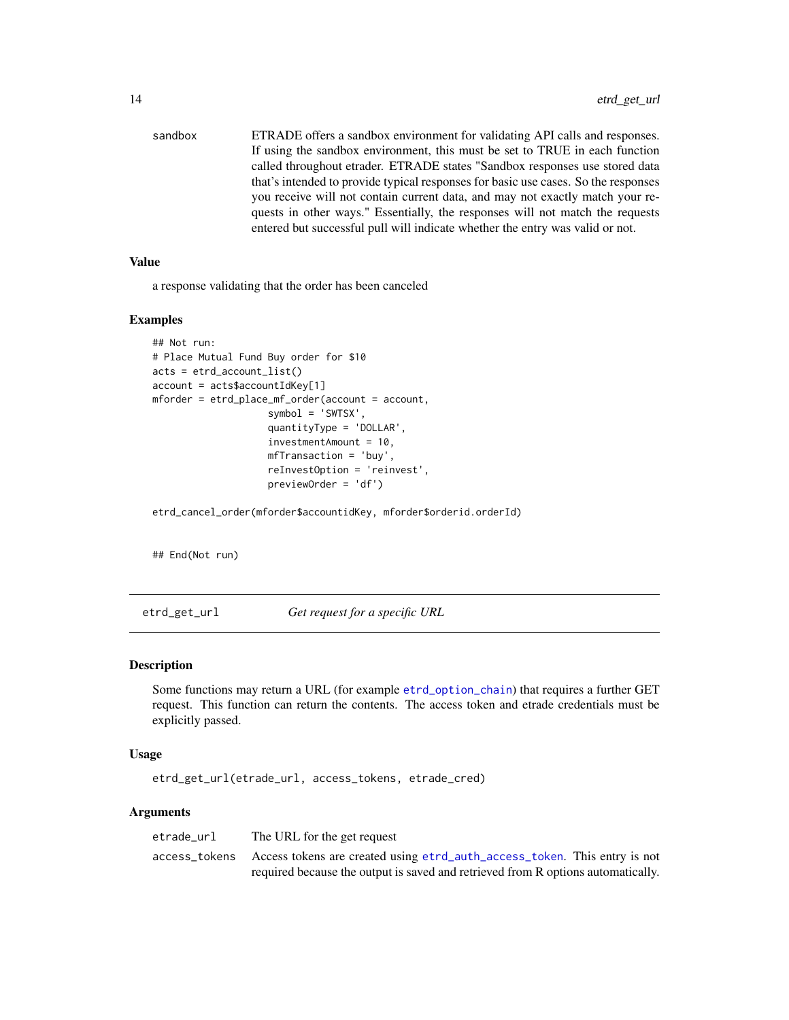<span id="page-13-0"></span>sandbox ETRADE offers a sandbox environment for validating API calls and responses. If using the sandbox environment, this must be set to TRUE in each function called throughout etrader. ETRADE states "Sandbox responses use stored data that's intended to provide typical responses for basic use cases. So the responses you receive will not contain current data, and may not exactly match your requests in other ways." Essentially, the responses will not match the requests entered but successful pull will indicate whether the entry was valid or not.

#### Value

a response validating that the order has been canceled

#### Examples

```
## Not run:
# Place Mutual Fund Buy order for $10
acts = etrd_account_list()
account = acts$accountIdKey[1]
mforder = etrd_place_mf_order(account = account,
                    symbol = 'SWTSX',
                    quantityType = 'DOLLAR',
                    investmentAmount = 10,
                    mfTransaction = 'buy',
                    reInvestOption = 'reinvest',
                    previewOrder = 'df')
```
etrd\_cancel\_order(mforder\$accountidKey, mforder\$orderid.orderId)

## End(Not run)

etrd\_get\_url *Get request for a specific URL*

#### Description

Some functions may return a URL (for example [etrd\\_option\\_chain](#page-15-1)) that requires a further GET request. This function can return the contents. The access token and etrade credentials must be explicitly passed.

#### Usage

```
etrd_get_url(etrade_url, access_tokens, etrade_cred)
```

| etrade url | The URL for the get request                                                             |
|------------|-----------------------------------------------------------------------------------------|
|            | access_tokens Access tokens are created using etrd_auth_access_token. This entry is not |
|            | required because the output is saved and retrieved from R options automatically.        |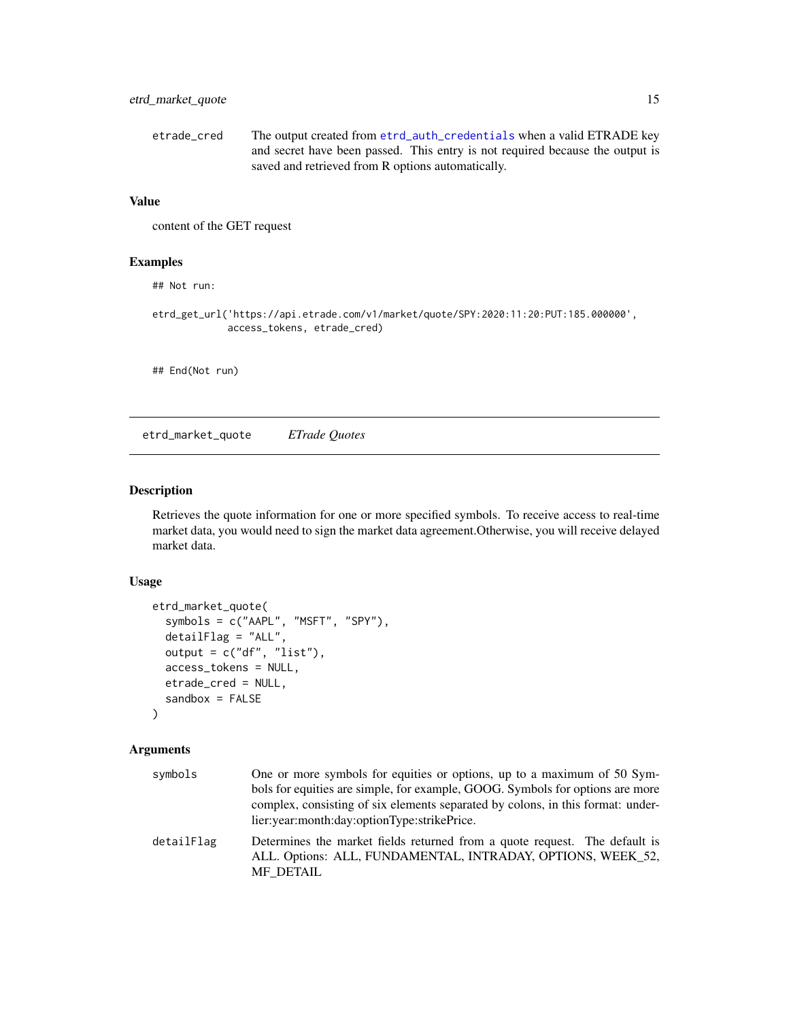<span id="page-14-0"></span>

| etrade cred | The output created from etrd_auth_credentials when a valid ETRADE key         |
|-------------|-------------------------------------------------------------------------------|
|             | and secret have been passed. This entry is not required because the output is |
|             | saved and retrieved from R options automatically.                             |

content of the GET request

## Examples

## Not run:

```
etrd_get_url('https://api.etrade.com/v1/market/quote/SPY:2020:11:20:PUT:185.000000',
            access_tokens, etrade_cred)
```
## End(Not run)

etrd\_market\_quote *ETrade Quotes*

## Description

Retrieves the quote information for one or more specified symbols. To receive access to real-time market data, you would need to sign the market data agreement.Otherwise, you will receive delayed market data.

## Usage

```
etrd_market_quote(
  symbols = c("AAPL", "MSFT", "SPY"),
  detailFlag = "ALL",
 output = c("df", "list"),access_tokens = NULL,
 etrade_cred = NULL,
  sandbox = FALSE
)
```

| symbols    | One or more symbols for equities or options, up to a maximum of 50 Sym-                                                                                |
|------------|--------------------------------------------------------------------------------------------------------------------------------------------------------|
|            | bols for equities are simple, for example, GOOG. Symbols for options are more                                                                          |
|            | complex, consisting of six elements separated by colons, in this format: under-                                                                        |
|            | lier: year: month: day: optionType: strikePrice.                                                                                                       |
| detailFlag | Determines the market fields returned from a quote request. The default is<br>ALL. Options: ALL, FUNDAMENTAL, INTRADAY, OPTIONS, WEEK 52,<br>MF_DETAIL |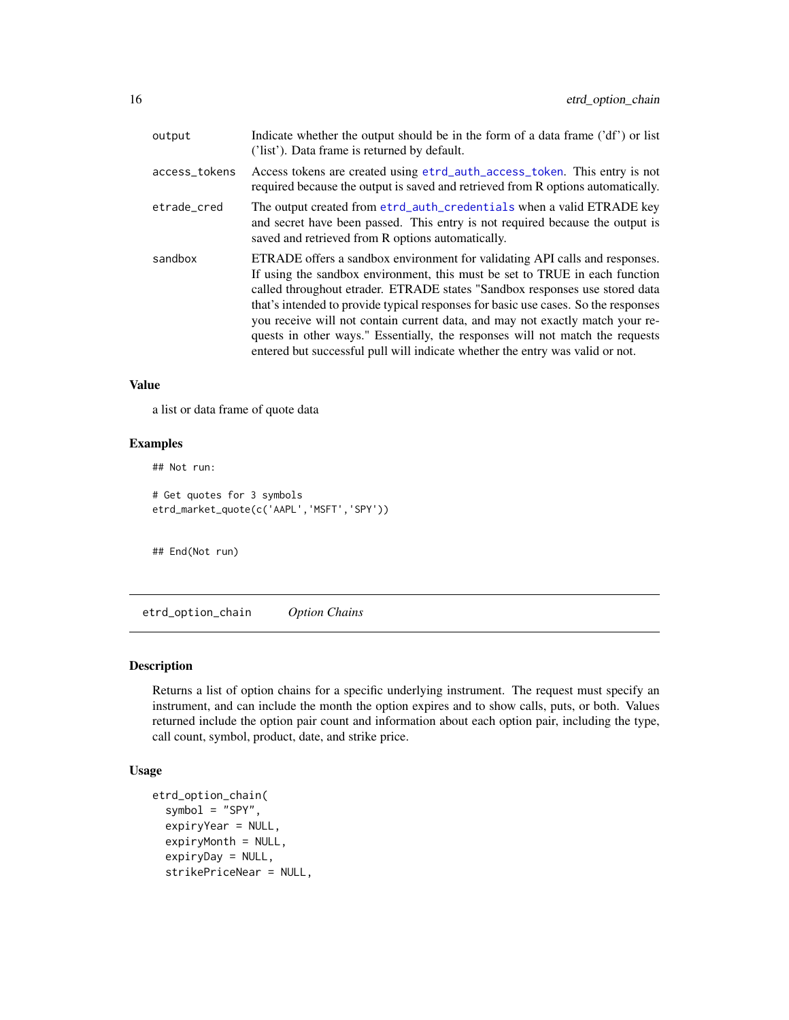<span id="page-15-0"></span>

| output        | Indicate whether the output should be in the form of a data frame ('df') or list<br>('list'). Data frame is returned by default.                                                                                                                                                                                                                                                                                                                                                                                                                                                   |
|---------------|------------------------------------------------------------------------------------------------------------------------------------------------------------------------------------------------------------------------------------------------------------------------------------------------------------------------------------------------------------------------------------------------------------------------------------------------------------------------------------------------------------------------------------------------------------------------------------|
| access_tokens | Access tokens are created using etrd_auth_access_token. This entry is not<br>required because the output is saved and retrieved from R options automatically.                                                                                                                                                                                                                                                                                                                                                                                                                      |
| etrade_cred   | The output created from etrd_auth_credentials when a valid ETRADE key<br>and secret have been passed. This entry is not required because the output is<br>saved and retrieved from R options automatically.                                                                                                                                                                                                                                                                                                                                                                        |
| sandbox       | ETRADE offers a sandbox environment for validating API calls and responses.<br>If using the sandbox environment, this must be set to TRUE in each function<br>called throughout etrader. ETRADE states "Sandbox responses use stored data<br>that's intended to provide typical responses for basic use cases. So the responses<br>you receive will not contain current data, and may not exactly match your re-<br>quests in other ways." Essentially, the responses will not match the requests<br>entered but successful pull will indicate whether the entry was valid or not. |

a list or data frame of quote data

### Examples

## Not run: # Get quotes for 3 symbols etrd\_market\_quote(c('AAPL','MSFT','SPY'))

## End(Not run)

<span id="page-15-1"></span>etrd\_option\_chain *Option Chains*

#### Description

Returns a list of option chains for a specific underlying instrument. The request must specify an instrument, and can include the month the option expires and to show calls, puts, or both. Values returned include the option pair count and information about each option pair, including the type, call count, symbol, product, date, and strike price.

# Usage

```
etrd_option_chain(
  symbol = "SPY",
  expiryYear = NULL,
  expiryMonth = NULL,
  expiryDay = NULL,
  strikePriceNear = NULL,
```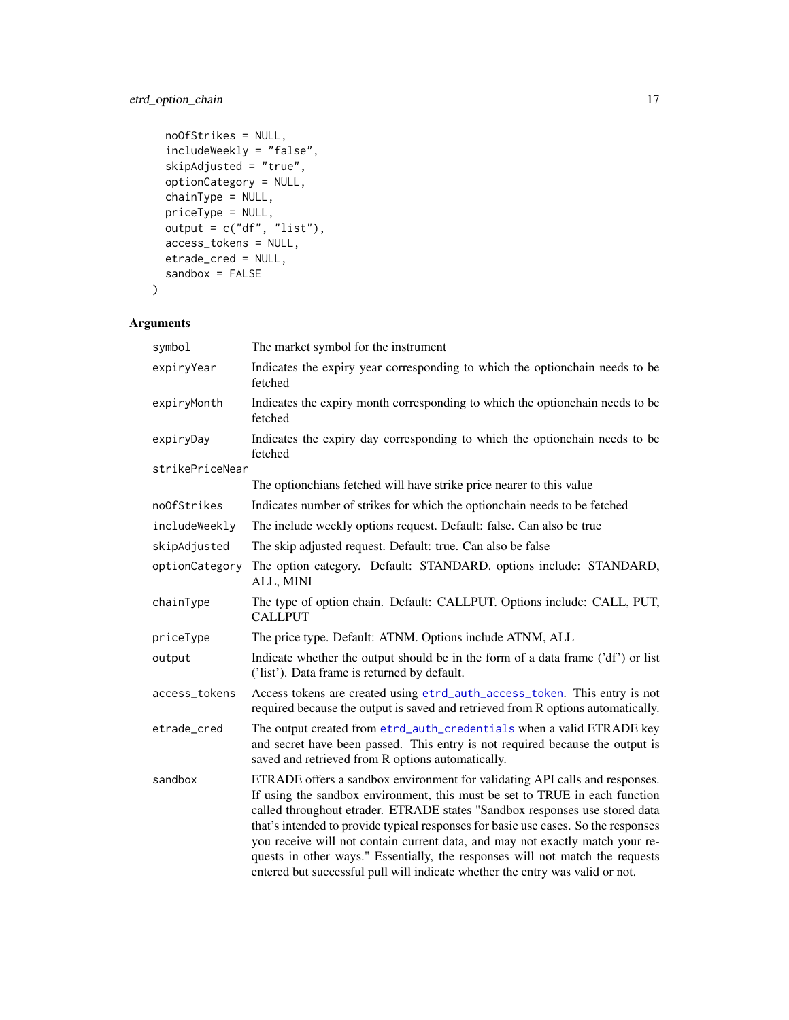# etrd\_option\_chain 17

```
noOfStrikes = NULL,
includeWeekly = "false",
skipAdjusted = "true",
optionCategory = NULL,
chainType = NULL,
priceType = NULL,
output = c("df", "list"),
access_tokens = NULL,
etrade_cred = NULL,
sandbox = FALSE
```
# Arguments

 $\mathcal{L}$ 

| symbol          | The market symbol for the instrument                                                                                                                                                                                                                                                                                                                                                                                                                                                                                                                                               |
|-----------------|------------------------------------------------------------------------------------------------------------------------------------------------------------------------------------------------------------------------------------------------------------------------------------------------------------------------------------------------------------------------------------------------------------------------------------------------------------------------------------------------------------------------------------------------------------------------------------|
| expiryYear      | Indicates the expiry year corresponding to which the optionchain needs to be<br>fetched                                                                                                                                                                                                                                                                                                                                                                                                                                                                                            |
| expiryMonth     | Indicates the expiry month corresponding to which the optionchain needs to be<br>fetched                                                                                                                                                                                                                                                                                                                                                                                                                                                                                           |
| expiryDay       | Indicates the expiry day corresponding to which the optionchain needs to be<br>fetched                                                                                                                                                                                                                                                                                                                                                                                                                                                                                             |
| strikePriceNear |                                                                                                                                                                                                                                                                                                                                                                                                                                                                                                                                                                                    |
|                 | The option chians fetched will have strike price nearer to this value                                                                                                                                                                                                                                                                                                                                                                                                                                                                                                              |
| noOfStrikes     | Indicates number of strikes for which the optionchain needs to be fetched                                                                                                                                                                                                                                                                                                                                                                                                                                                                                                          |
| includeWeekly   | The include weekly options request. Default: false. Can also be true                                                                                                                                                                                                                                                                                                                                                                                                                                                                                                               |
| skipAdjusted    | The skip adjusted request. Default: true. Can also be false                                                                                                                                                                                                                                                                                                                                                                                                                                                                                                                        |
| optionCategory  | The option category. Default: STANDARD. options include: STANDARD,<br>ALL, MINI                                                                                                                                                                                                                                                                                                                                                                                                                                                                                                    |
| chainType       | The type of option chain. Default: CALLPUT. Options include: CALL, PUT,<br><b>CALLPUT</b>                                                                                                                                                                                                                                                                                                                                                                                                                                                                                          |
| priceType       | The price type. Default: ATNM. Options include ATNM, ALL                                                                                                                                                                                                                                                                                                                                                                                                                                                                                                                           |
| output          | Indicate whether the output should be in the form of a data frame ('df') or list<br>('list'). Data frame is returned by default.                                                                                                                                                                                                                                                                                                                                                                                                                                                   |
| access_tokens   | Access tokens are created using etrd_auth_access_token. This entry is not<br>required because the output is saved and retrieved from R options automatically.                                                                                                                                                                                                                                                                                                                                                                                                                      |
| etrade_cred     | The output created from etrd_auth_credentials when a valid ETRADE key<br>and secret have been passed. This entry is not required because the output is<br>saved and retrieved from R options automatically.                                                                                                                                                                                                                                                                                                                                                                        |
| sandbox         | ETRADE offers a sandbox environment for validating API calls and responses.<br>If using the sandbox environment, this must be set to TRUE in each function<br>called throughout etrader. ETRADE states "Sandbox responses use stored data<br>that's intended to provide typical responses for basic use cases. So the responses<br>you receive will not contain current data, and may not exactly match your re-<br>quests in other ways." Essentially, the responses will not match the requests<br>entered but successful pull will indicate whether the entry was valid or not. |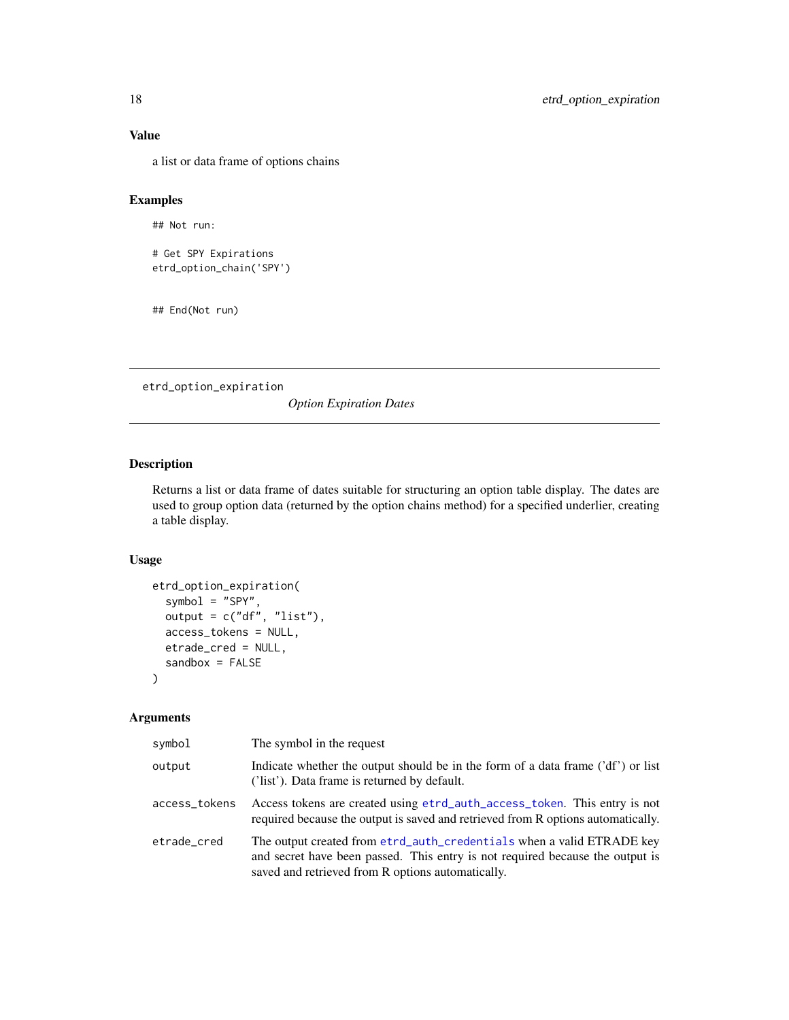a list or data frame of options chains

## Examples

## Not run:

```
# Get SPY Expirations
etrd_option_chain('SPY')
```
## End(Not run)

etrd\_option\_expiration

*Option Expiration Dates*

## Description

Returns a list or data frame of dates suitable for structuring an option table display. The dates are used to group option data (returned by the option chains method) for a specified underlier, creating a table display.

#### Usage

```
etrd_option_expiration(
  symbol = "SPY",
  output = c("df", "list"),access_tokens = NULL,
  etrade_cred = NULL,
  sandbox = FALSE
\mathcal{L}
```

| symbol        | The symbol in the request                                                                                                                                                                                   |
|---------------|-------------------------------------------------------------------------------------------------------------------------------------------------------------------------------------------------------------|
| output        | Indicate whether the output should be in the form of a data frame ('df') or list<br>('list'). Data frame is returned by default.                                                                            |
| access_tokens | Access tokens are created using etrd_auth_access_token. This entry is not<br>required because the output is saved and retrieved from R options automatically.                                               |
| etrade_cred   | The output created from etrd_auth_credentials when a valid ETRADE key<br>and secret have been passed. This entry is not required because the output is<br>saved and retrieved from R options automatically. |

<span id="page-17-0"></span>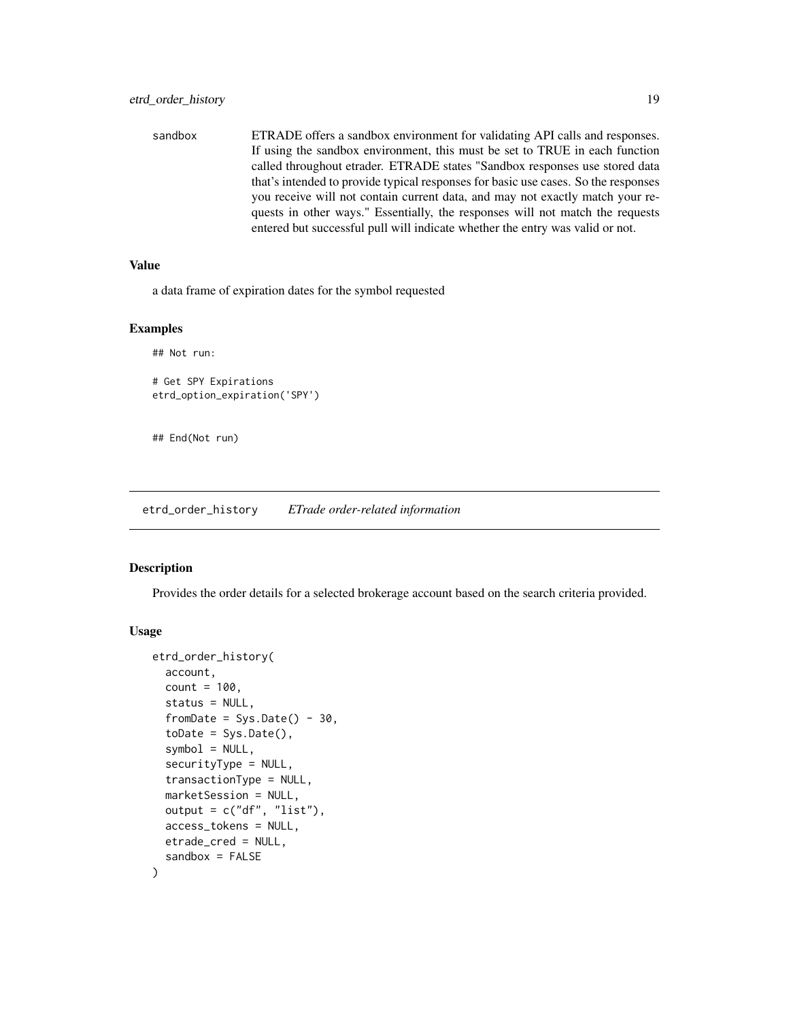<span id="page-18-0"></span>sandbox ETRADE offers a sandbox environment for validating API calls and responses. If using the sandbox environment, this must be set to TRUE in each function called throughout etrader. ETRADE states "Sandbox responses use stored data that's intended to provide typical responses for basic use cases. So the responses you receive will not contain current data, and may not exactly match your requests in other ways." Essentially, the responses will not match the requests entered but successful pull will indicate whether the entry was valid or not.

#### Value

a data frame of expiration dates for the symbol requested

#### Examples

```
## Not run:
# Get SPY Expirations
etrd_option_expiration('SPY')
```
## End(Not run)

etrd\_order\_history *ETrade order-related information*

#### **Description**

Provides the order details for a selected brokerage account based on the search criteria provided.

#### Usage

```
etrd_order_history(
  account,
  count = 100,
  status = NULL,
  fromDate = Sys.Date() - 30,toDate = Sys.Date(),
  symbol1 = NULL,securityType = NULL,
  transactionType = NULL,
  marketSession = NULL,
  output = c("df", "list"),access_tokens = NULL,
  etrade_cred = NULL,
  sandbox = FALSE
)
```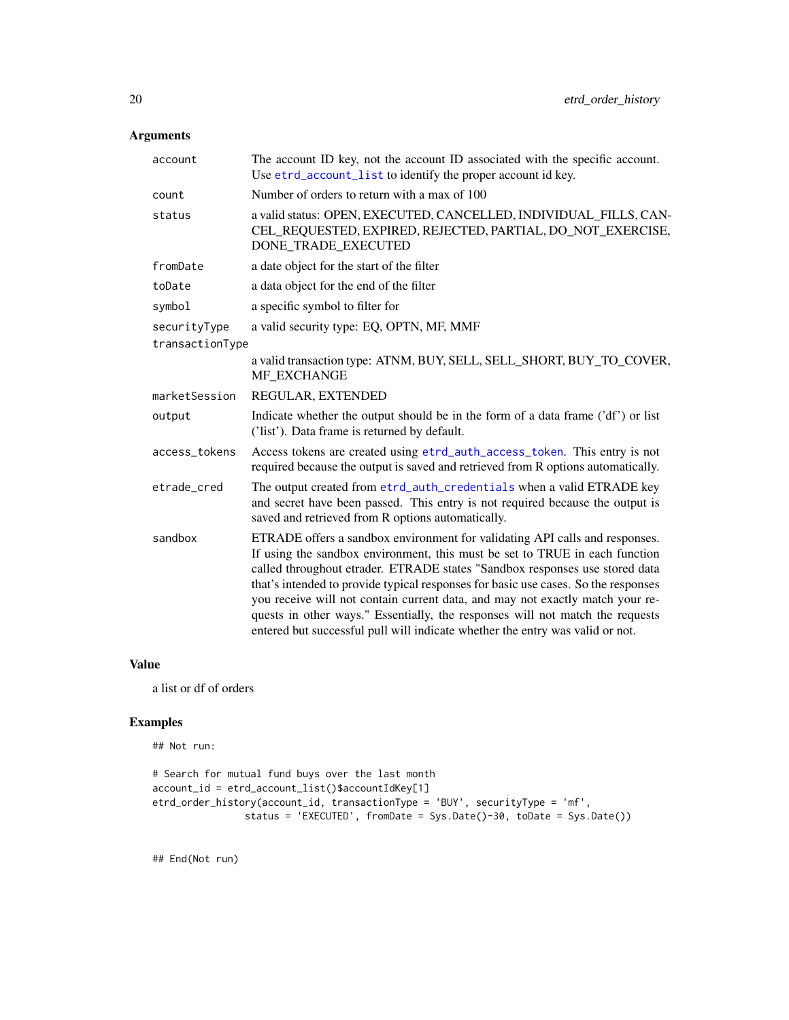# <span id="page-19-0"></span>Arguments

| account         | The account ID key, not the account ID associated with the specific account.<br>Use etrd_account_list to identify the proper account id key.                                                                                                                                                                                                                                                                                                                                                                                                                                       |
|-----------------|------------------------------------------------------------------------------------------------------------------------------------------------------------------------------------------------------------------------------------------------------------------------------------------------------------------------------------------------------------------------------------------------------------------------------------------------------------------------------------------------------------------------------------------------------------------------------------|
| count           | Number of orders to return with a max of 100                                                                                                                                                                                                                                                                                                                                                                                                                                                                                                                                       |
| status          | a valid status: OPEN, EXECUTED, CANCELLED, INDIVIDUAL FILLS, CAN-<br>CEL_REQUESTED, EXPIRED, REJECTED, PARTIAL, DO_NOT_EXERCISE,<br>DONE_TRADE_EXECUTED                                                                                                                                                                                                                                                                                                                                                                                                                            |
| fromDate        | a date object for the start of the filter                                                                                                                                                                                                                                                                                                                                                                                                                                                                                                                                          |
| toDate          | a data object for the end of the filter                                                                                                                                                                                                                                                                                                                                                                                                                                                                                                                                            |
| symbol          | a specific symbol to filter for                                                                                                                                                                                                                                                                                                                                                                                                                                                                                                                                                    |
| securityType    | a valid security type: EQ, OPTN, MF, MMF                                                                                                                                                                                                                                                                                                                                                                                                                                                                                                                                           |
| transactionType |                                                                                                                                                                                                                                                                                                                                                                                                                                                                                                                                                                                    |
|                 | a valid transaction type: ATNM, BUY, SELL, SELL_SHORT, BUY_TO_COVER,<br>MF EXCHANGE                                                                                                                                                                                                                                                                                                                                                                                                                                                                                                |
| marketSession   | REGULAR, EXTENDED                                                                                                                                                                                                                                                                                                                                                                                                                                                                                                                                                                  |
| output          | Indicate whether the output should be in the form of a data frame ('df') or list<br>('list'). Data frame is returned by default.                                                                                                                                                                                                                                                                                                                                                                                                                                                   |
| access_tokens   | Access tokens are created using etrd_auth_access_token. This entry is not<br>required because the output is saved and retrieved from R options automatically.                                                                                                                                                                                                                                                                                                                                                                                                                      |
| etrade_cred     | The output created from etrd_auth_credentials when a valid ETRADE key<br>and secret have been passed. This entry is not required because the output is<br>saved and retrieved from R options automatically.                                                                                                                                                                                                                                                                                                                                                                        |
| sandbox         | ETRADE offers a sandbox environment for validating API calls and responses.<br>If using the sandbox environment, this must be set to TRUE in each function<br>called throughout etrader. ETRADE states "Sandbox responses use stored data<br>that's intended to provide typical responses for basic use cases. So the responses<br>you receive will not contain current data, and may not exactly match your re-<br>quests in other ways." Essentially, the responses will not match the requests<br>entered but successful pull will indicate whether the entry was valid or not. |

#### Value

a list or df of orders

# Examples

## Not run:

```
# Search for mutual fund buys over the last month
account_id = etrd_account_list()$accountIdKey[1]
etrd_order_history(account_id, transactionType = 'BUY', securityType = 'mf',
               status = 'EXECUTED', fromDate = Sys.Date()-30, toDate = Sys.Date())
```
## End(Not run)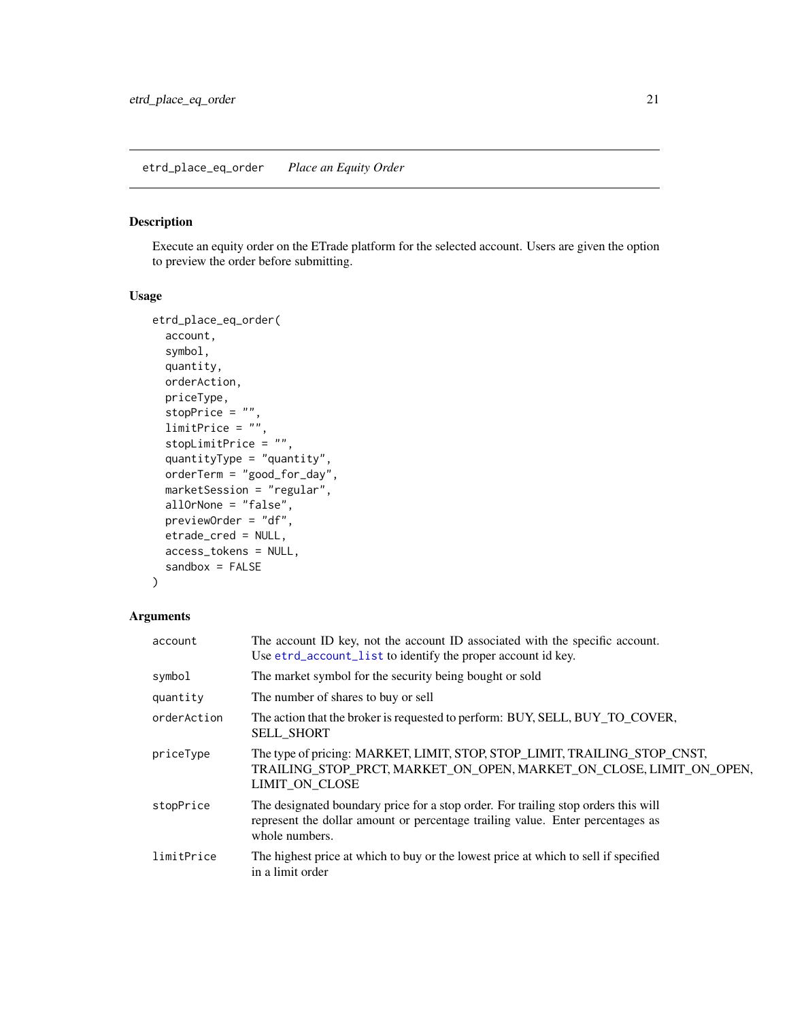## <span id="page-20-0"></span>Description

Execute an equity order on the ETrade platform for the selected account. Users are given the option to preview the order before submitting.

## Usage

```
etrd_place_eq_order(
  account,
  symbol,
  quantity,
  orderAction,
 priceType,
  stopPrice = "",
  limitPrice = "",
  stopLimitPrice = "",
  quantityType = "quantity",
 orderTerm = "good_for_day",
  marketSession = "regular",
  allOrNone = "false",
 previewOrder = "df",
 etrade_cred = NULL,
  access_tokens = NULL,
  sandbox = FALSE
)
```

| account     | The account ID key, not the account ID associated with the specific account.<br>Use etrd_account_list to identify the proper account id key.                                           |
|-------------|----------------------------------------------------------------------------------------------------------------------------------------------------------------------------------------|
| symbol      | The market symbol for the security being bought or sold                                                                                                                                |
| quantity    | The number of shares to buy or sell                                                                                                                                                    |
| orderAction | The action that the broker is requested to perform: BUY, SELL, BUY_TO_COVER,<br><b>SELL SHORT</b>                                                                                      |
| priceType   | The type of pricing: MARKET, LIMIT, STOP, STOP_LIMIT, TRAILING_STOP_CNST,<br>TRAILING STOP PRCT, MARKET ON OPEN, MARKET ON CLOSE, LIMIT ON OPEN,<br>LIMIT ON CLOSE                     |
| stopPrice   | The designated boundary price for a stop order. For trailing stop orders this will<br>represent the dollar amount or percentage trailing value. Enter percentages as<br>whole numbers. |
| limitPrice  | The highest price at which to buy or the lowest price at which to sell if specified<br>in a limit order                                                                                |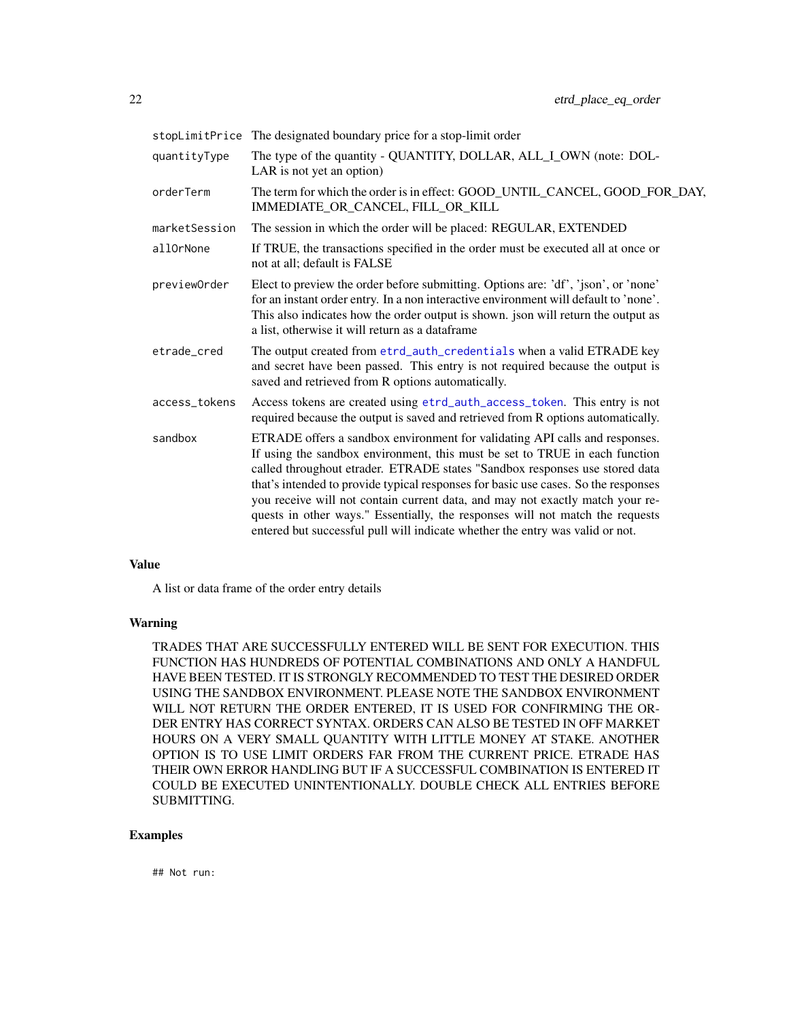<span id="page-21-0"></span>

|               | stopLimitPrice The designated boundary price for a stop-limit order                                                                                                                                                                                                                                                                                                                                                                                                                                                                                                                |
|---------------|------------------------------------------------------------------------------------------------------------------------------------------------------------------------------------------------------------------------------------------------------------------------------------------------------------------------------------------------------------------------------------------------------------------------------------------------------------------------------------------------------------------------------------------------------------------------------------|
| quantityType  | The type of the quantity - QUANTITY, DOLLAR, ALL_I_OWN (note: DOL-<br>LAR is not yet an option)                                                                                                                                                                                                                                                                                                                                                                                                                                                                                    |
| orderTerm     | The term for which the order is in effect: GOOD_UNTIL_CANCEL, GOOD_FOR_DAY,<br>IMMEDIATE_OR_CANCEL, FILL_OR_KILL                                                                                                                                                                                                                                                                                                                                                                                                                                                                   |
| marketSession | The session in which the order will be placed: REGULAR, EXTENDED                                                                                                                                                                                                                                                                                                                                                                                                                                                                                                                   |
| allOrNone     | If TRUE, the transactions specified in the order must be executed all at once or<br>not at all; default is FALSE                                                                                                                                                                                                                                                                                                                                                                                                                                                                   |
| previewOrder  | Elect to preview the order before submitting. Options are: 'df', 'json', or 'none'<br>for an instant order entry. In a non interactive environment will default to 'none'.<br>This also indicates how the order output is shown. json will return the output as<br>a list, otherwise it will return as a dataframe                                                                                                                                                                                                                                                                 |
| etrade cred   | The output created from etrd_auth_credentials when a valid ETRADE key<br>and secret have been passed. This entry is not required because the output is<br>saved and retrieved from R options automatically.                                                                                                                                                                                                                                                                                                                                                                        |
| access tokens | Access tokens are created using etrd_auth_access_token. This entry is not<br>required because the output is saved and retrieved from R options automatically.                                                                                                                                                                                                                                                                                                                                                                                                                      |
| sandbox       | ETRADE offers a sandbox environment for validating API calls and responses.<br>If using the sandbox environment, this must be set to TRUE in each function<br>called throughout etrader. ETRADE states "Sandbox responses use stored data<br>that's intended to provide typical responses for basic use cases. So the responses<br>you receive will not contain current data, and may not exactly match your re-<br>quests in other ways." Essentially, the responses will not match the requests<br>entered but successful pull will indicate whether the entry was valid or not. |

A list or data frame of the order entry details

## Warning

TRADES THAT ARE SUCCESSFULLY ENTERED WILL BE SENT FOR EXECUTION. THIS FUNCTION HAS HUNDREDS OF POTENTIAL COMBINATIONS AND ONLY A HANDFUL HAVE BEEN TESTED. IT IS STRONGLY RECOMMENDED TO TEST THE DESIRED ORDER USING THE SANDBOX ENVIRONMENT. PLEASE NOTE THE SANDBOX ENVIRONMENT WILL NOT RETURN THE ORDER ENTERED, IT IS USED FOR CONFIRMING THE OR-DER ENTRY HAS CORRECT SYNTAX. ORDERS CAN ALSO BE TESTED IN OFF MARKET HOURS ON A VERY SMALL QUANTITY WITH LITTLE MONEY AT STAKE. ANOTHER OPTION IS TO USE LIMIT ORDERS FAR FROM THE CURRENT PRICE. ETRADE HAS THEIR OWN ERROR HANDLING BUT IF A SUCCESSFUL COMBINATION IS ENTERED IT COULD BE EXECUTED UNINTENTIONALLY. DOUBLE CHECK ALL ENTRIES BEFORE SUBMITTING.

# Examples

## Not run: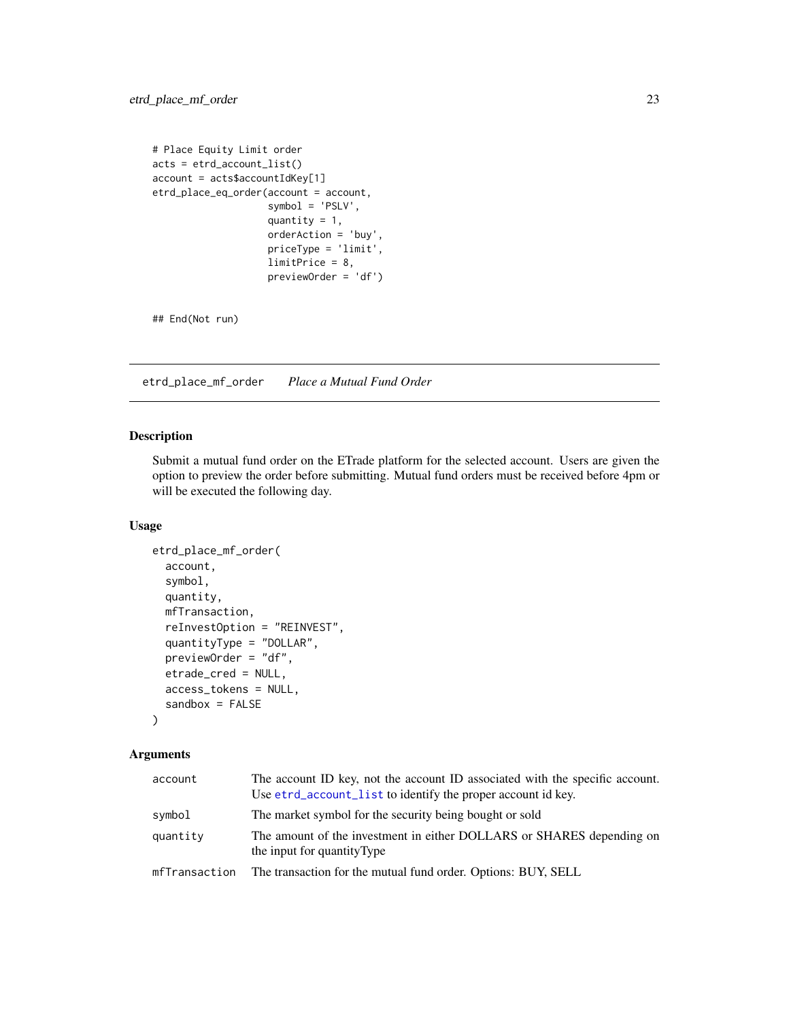```
# Place Equity Limit order
acts = etrd_account_list()
account = acts$accountIdKey[1]
etrd_place_eq_order(account = account,
                   symbol = 'PSLV',
                    quantity = 1,
                    orderAction = 'buy',
                    priceType = 'limit',
                    limitPrice = 8,
                    previewOrder = 'df')
```
## End(Not run)

etrd\_place\_mf\_order *Place a Mutual Fund Order*

## Description

Submit a mutual fund order on the ETrade platform for the selected account. Users are given the option to preview the order before submitting. Mutual fund orders must be received before 4pm or will be executed the following day.

## Usage

```
etrd_place_mf_order(
  account,
  symbol,
  quantity,
  mfTransaction,
  reInvestOption = "REINVEST",
  quantityType = "DOLLAR",
  previewOrder = "df",
  etrade_cred = NULL,
  access_tokens = NULL,
  sandbox = FALSE
```
 $\mathcal{L}$ 

| account       | The account ID key, not the account ID associated with the specific account.<br>Use etrd_account_list to identify the proper account id key. |
|---------------|----------------------------------------------------------------------------------------------------------------------------------------------|
| symbol        | The market symbol for the security being bought or sold                                                                                      |
| quantity      | The amount of the investment in either DOLLARS or SHARES depending on<br>the input for quantity Type                                         |
| mfTransaction | The transaction for the mutual fund order. Options: BUY, SELL                                                                                |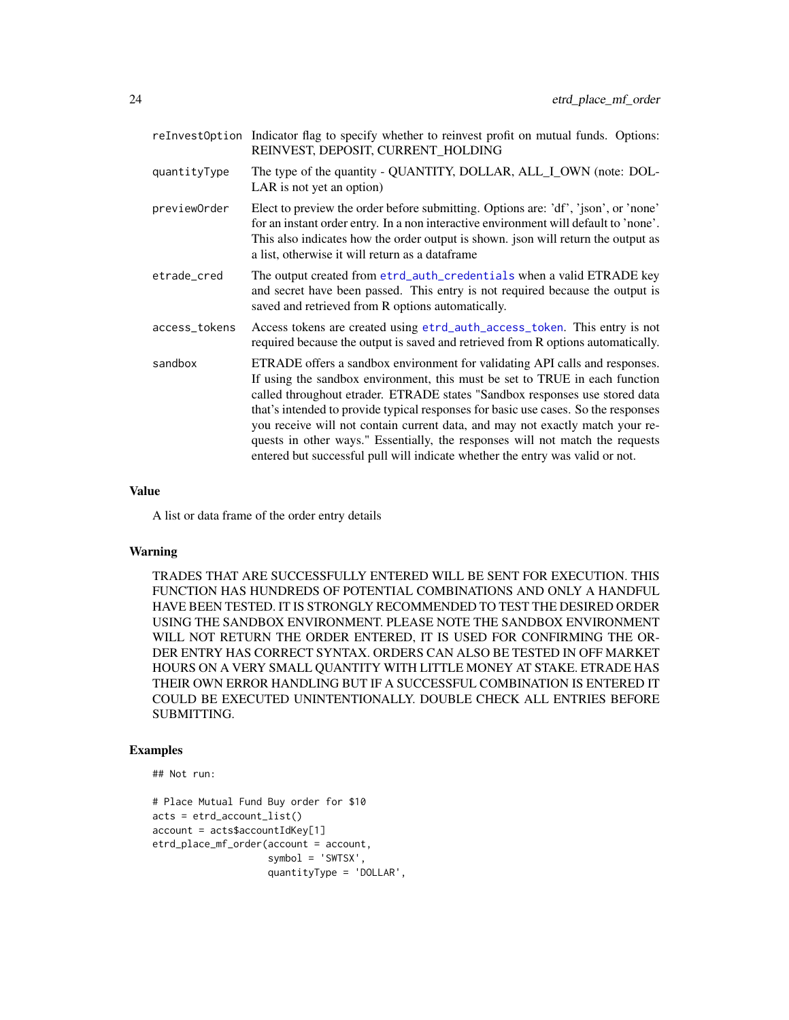<span id="page-23-0"></span>

|               | reInvestOption Indicator flag to specify whether to reinvest profit on mutual funds. Options:<br>REINVEST, DEPOSIT, CURRENT_HOLDING                                                                                                                                                                                                                                                                                                                                                                                                                                                |
|---------------|------------------------------------------------------------------------------------------------------------------------------------------------------------------------------------------------------------------------------------------------------------------------------------------------------------------------------------------------------------------------------------------------------------------------------------------------------------------------------------------------------------------------------------------------------------------------------------|
| quantityType  | The type of the quantity - QUANTITY, DOLLAR, ALL_I_OWN (note: DOL-<br>LAR is not yet an option)                                                                                                                                                                                                                                                                                                                                                                                                                                                                                    |
| previewOrder  | Elect to preview the order before submitting. Options are: 'df', 'json', or 'none'<br>for an instant order entry. In a non interactive environment will default to 'none'.<br>This also indicates how the order output is shown. json will return the output as<br>a list, otherwise it will return as a dataframe                                                                                                                                                                                                                                                                 |
| etrade_cred   | The output created from etrd_auth_credentials when a valid ETRADE key<br>and secret have been passed. This entry is not required because the output is<br>saved and retrieved from R options automatically.                                                                                                                                                                                                                                                                                                                                                                        |
| access_tokens | Access tokens are created using etrd_auth_access_token. This entry is not<br>required because the output is saved and retrieved from R options automatically.                                                                                                                                                                                                                                                                                                                                                                                                                      |
| sandbox       | ETRADE offers a sandbox environment for validating API calls and responses.<br>If using the sandbox environment, this must be set to TRUE in each function<br>called throughout etrader. ETRADE states "Sandbox responses use stored data<br>that's intended to provide typical responses for basic use cases. So the responses<br>you receive will not contain current data, and may not exactly match your re-<br>quests in other ways." Essentially, the responses will not match the requests<br>entered but successful pull will indicate whether the entry was valid or not. |

A list or data frame of the order entry details

#### Warning

TRADES THAT ARE SUCCESSFULLY ENTERED WILL BE SENT FOR EXECUTION. THIS FUNCTION HAS HUNDREDS OF POTENTIAL COMBINATIONS AND ONLY A HANDFUL HAVE BEEN TESTED. IT IS STRONGLY RECOMMENDED TO TEST THE DESIRED ORDER USING THE SANDBOX ENVIRONMENT. PLEASE NOTE THE SANDBOX ENVIRONMENT WILL NOT RETURN THE ORDER ENTERED, IT IS USED FOR CONFIRMING THE OR-DER ENTRY HAS CORRECT SYNTAX. ORDERS CAN ALSO BE TESTED IN OFF MARKET HOURS ON A VERY SMALL QUANTITY WITH LITTLE MONEY AT STAKE. ETRADE HAS THEIR OWN ERROR HANDLING BUT IF A SUCCESSFUL COMBINATION IS ENTERED IT COULD BE EXECUTED UNINTENTIONALLY. DOUBLE CHECK ALL ENTRIES BEFORE SUBMITTING.

## Examples

## Not run:

```
# Place Mutual Fund Buy order for $10
acts = etrd_account_list()
account = actssaccountIdKey[1]etrd_place_mf_order(account = account,
                    symbol = 'SWTSX',
                    quantityType = 'DOLLAR',
```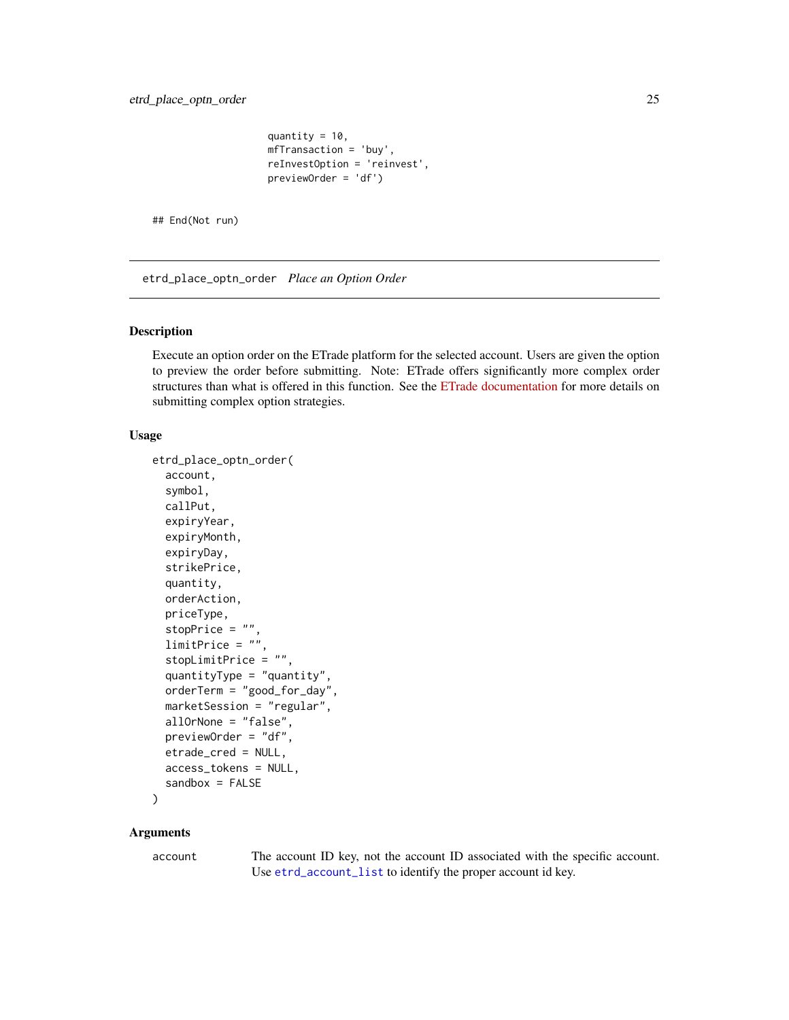```
quantity = 10,
mfTransaction = 'buy',
reInvestOption = 'reinvest',
previewOrder = 'df')
```
<span id="page-24-0"></span>## End(Not run)

etrd\_place\_optn\_order *Place an Option Order*

#### Description

Execute an option order on the ETrade platform for the selected account. Users are given the option to preview the order before submitting. Note: ETrade offers significantly more complex order structures than what is offered in this function. See the [ETrade documentation](https://apisb.etrade.com/docs/api/order/api-order-v1.html) for more details on submitting complex option strategies.

#### Usage

```
etrd_place_optn_order(
  account,
  symbol,
 callPut,
  expiryYear,
  expiryMonth,
  expiryDay,
  strikePrice,
  quantity,
  orderAction,
  priceType,
  stopPrice = "",
  limitPrice = "",
  stopLimitPrice = "",
  quantityType = "quantity",
  orderTerm = "good_for_day",
 marketSession = "regular",
  allOrNone = "false",
 previewOrder = "df",
 etrade_cred = NULL,
  access_tokens = NULL,
  sandbox = FALSE\lambda
```
#### Arguments

account The account ID key, not the account ID associated with the specific account. Use [etrd\\_account\\_list](#page-2-1) to identify the proper account id key.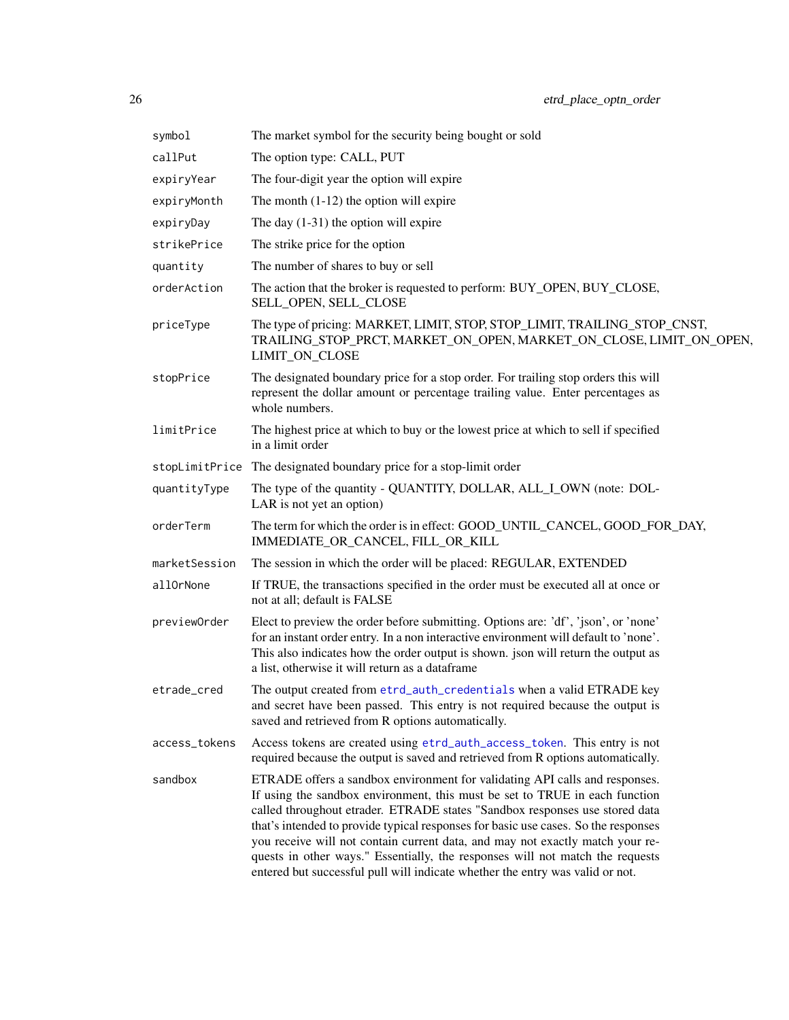<span id="page-25-0"></span>

| symbol        | The market symbol for the security being bought or sold                                                                                                                                                                                                                                                                                                                                                                                                                                                                                                                            |
|---------------|------------------------------------------------------------------------------------------------------------------------------------------------------------------------------------------------------------------------------------------------------------------------------------------------------------------------------------------------------------------------------------------------------------------------------------------------------------------------------------------------------------------------------------------------------------------------------------|
| callPut       | The option type: CALL, PUT                                                                                                                                                                                                                                                                                                                                                                                                                                                                                                                                                         |
| expiryYear    | The four-digit year the option will expire                                                                                                                                                                                                                                                                                                                                                                                                                                                                                                                                         |
| expiryMonth   | The month $(1-12)$ the option will expire                                                                                                                                                                                                                                                                                                                                                                                                                                                                                                                                          |
| expiryDay     | The day $(1-31)$ the option will expire                                                                                                                                                                                                                                                                                                                                                                                                                                                                                                                                            |
| strikePrice   | The strike price for the option                                                                                                                                                                                                                                                                                                                                                                                                                                                                                                                                                    |
| quantity      | The number of shares to buy or sell                                                                                                                                                                                                                                                                                                                                                                                                                                                                                                                                                |
| orderAction   | The action that the broker is requested to perform: BUY_OPEN, BUY_CLOSE,<br>SELL_OPEN, SELL_CLOSE                                                                                                                                                                                                                                                                                                                                                                                                                                                                                  |
| priceType     | The type of pricing: MARKET, LIMIT, STOP, STOP_LIMIT, TRAILING_STOP_CNST,<br>TRAILING_STOP_PRCT, MARKET_ON_OPEN, MARKET_ON_CLOSE, LIMIT_ON_OPEN,<br>LIMIT_ON_CLOSE                                                                                                                                                                                                                                                                                                                                                                                                                 |
| stopPrice     | The designated boundary price for a stop order. For trailing stop orders this will<br>represent the dollar amount or percentage trailing value. Enter percentages as<br>whole numbers.                                                                                                                                                                                                                                                                                                                                                                                             |
| limitPrice    | The highest price at which to buy or the lowest price at which to sell if specified<br>in a limit order                                                                                                                                                                                                                                                                                                                                                                                                                                                                            |
|               | stopLimitPrice The designated boundary price for a stop-limit order                                                                                                                                                                                                                                                                                                                                                                                                                                                                                                                |
| quantityType  | The type of the quantity - QUANTITY, DOLLAR, ALL_I_OWN (note: DOL-<br>LAR is not yet an option)                                                                                                                                                                                                                                                                                                                                                                                                                                                                                    |
| orderTerm     | The term for which the order is in effect: GOOD_UNTIL_CANCEL, GOOD_FOR_DAY,<br>IMMEDIATE_OR_CANCEL, FILL_OR_KILL                                                                                                                                                                                                                                                                                                                                                                                                                                                                   |
| marketSession | The session in which the order will be placed: REGULAR, EXTENDED                                                                                                                                                                                                                                                                                                                                                                                                                                                                                                                   |
| allOrNone     | If TRUE, the transactions specified in the order must be executed all at once or<br>not at all; default is FALSE                                                                                                                                                                                                                                                                                                                                                                                                                                                                   |
| previewOrder  | Elect to preview the order before submitting. Options are: 'df', 'json', or 'none'<br>for an instant order entry. In a non interactive environment will default to 'none'.<br>This also indicates how the order output is shown. json will return the output as<br>a list, otherwise it will return as a dataframe                                                                                                                                                                                                                                                                 |
| etrade_cred   | The output created from etrd_auth_credentials when a valid ETRADE key<br>and secret have been passed. This entry is not required because the output is<br>saved and retrieved from R options automatically.                                                                                                                                                                                                                                                                                                                                                                        |
| access_tokens | Access tokens are created using etrd_auth_access_token. This entry is not<br>required because the output is saved and retrieved from R options automatically.                                                                                                                                                                                                                                                                                                                                                                                                                      |
| sandbox       | ETRADE offers a sandbox environment for validating API calls and responses.<br>If using the sandbox environment, this must be set to TRUE in each function<br>called throughout etrader. ETRADE states "Sandbox responses use stored data<br>that's intended to provide typical responses for basic use cases. So the responses<br>you receive will not contain current data, and may not exactly match your re-<br>quests in other ways." Essentially, the responses will not match the requests<br>entered but successful pull will indicate whether the entry was valid or not. |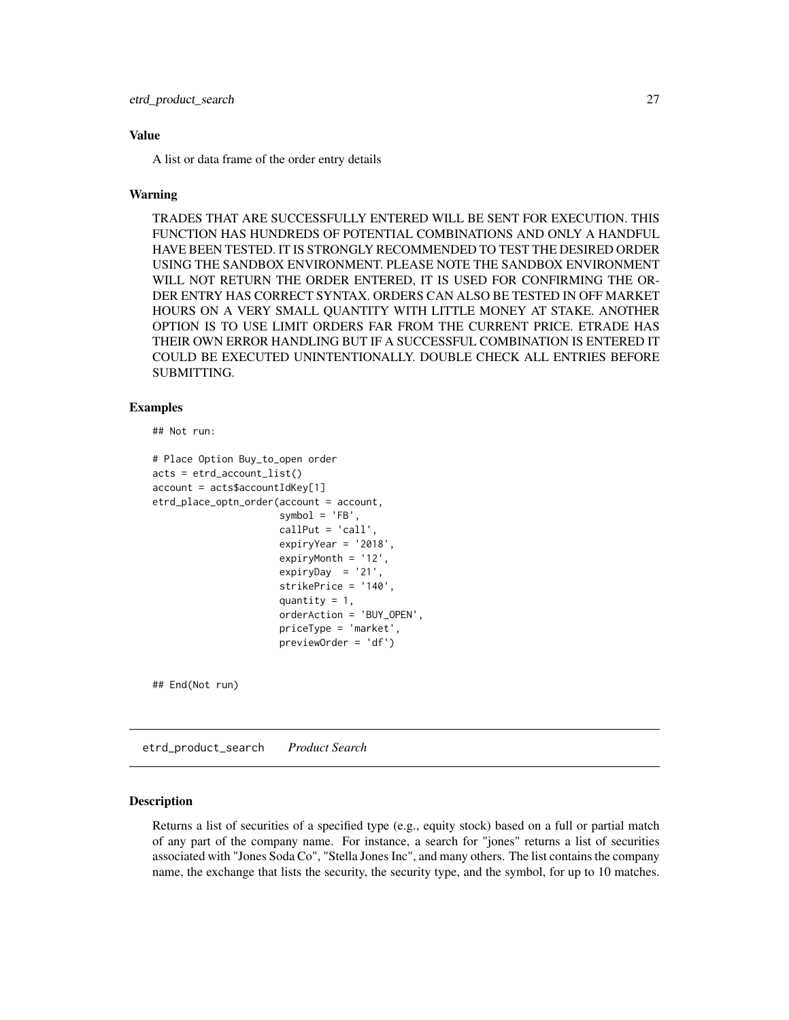<span id="page-26-0"></span>A list or data frame of the order entry details

#### Warning

TRADES THAT ARE SUCCESSFULLY ENTERED WILL BE SENT FOR EXECUTION. THIS FUNCTION HAS HUNDREDS OF POTENTIAL COMBINATIONS AND ONLY A HANDFUL HAVE BEEN TESTED. IT IS STRONGLY RECOMMENDED TO TEST THE DESIRED ORDER USING THE SANDBOX ENVIRONMENT. PLEASE NOTE THE SANDBOX ENVIRONMENT WILL NOT RETURN THE ORDER ENTERED, IT IS USED FOR CONFIRMING THE OR-DER ENTRY HAS CORRECT SYNTAX. ORDERS CAN ALSO BE TESTED IN OFF MARKET HOURS ON A VERY SMALL QUANTITY WITH LITTLE MONEY AT STAKE. ANOTHER OPTION IS TO USE LIMIT ORDERS FAR FROM THE CURRENT PRICE. ETRADE HAS THEIR OWN ERROR HANDLING BUT IF A SUCCESSFUL COMBINATION IS ENTERED IT COULD BE EXECUTED UNINTENTIONALLY. DOUBLE CHECK ALL ENTRIES BEFORE SUBMITTING.

#### Examples

```
## Not run:
```

```
# Place Option Buy_to_open order
acts = etrd_account_list()
account = actsaccountIdKey[1]etrd_place_optn_order(account = account,
                      symbol = 'FB',
                      callPut = 'call',
                      expiryYear = '2018',
                      expiryMonth = '12',
                      expiryDay = '21',
                      strikePrice = '140',
                      quantity = 1,
                      orderAction = 'BUY_OPEN',
                      priceType = 'market',
                      previewOrder = 'df')
```
## End(Not run)

etrd\_product\_search *Product Search*

#### Description

Returns a list of securities of a specified type (e.g., equity stock) based on a full or partial match of any part of the company name. For instance, a search for "jones" returns a list of securities associated with "Jones Soda Co", "Stella Jones Inc", and many others. The list contains the company name, the exchange that lists the security, the security type, and the symbol, for up to 10 matches.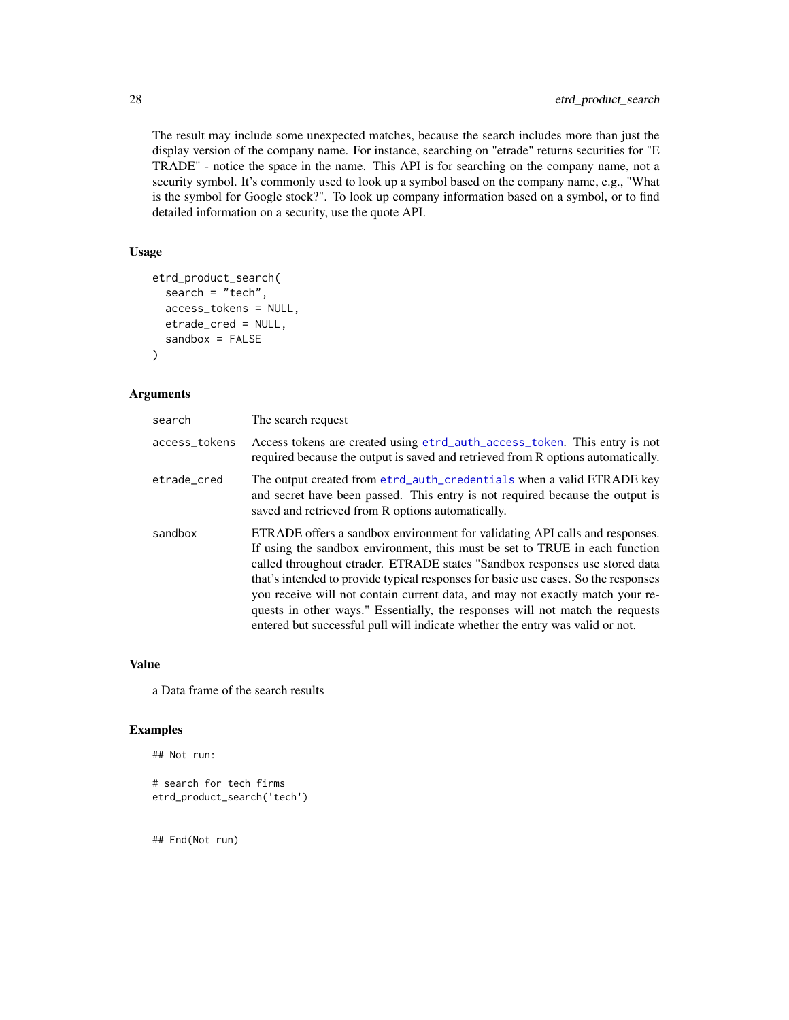The result may include some unexpected matches, because the search includes more than just the display version of the company name. For instance, searching on "etrade" returns securities for "E TRADE" - notice the space in the name. This API is for searching on the company name, not a security symbol. It's commonly used to look up a symbol based on the company name, e.g., "What is the symbol for Google stock?". To look up company information based on a symbol, or to find detailed information on a security, use the quote API.

### Usage

```
etrd_product_search(
  search = "tech",access_tokens = NULL,
  etrade_cred = NULL,
  sandbox = FALSE
\mathcal{L}
```
#### Arguments

| search        | The search request                                                                                                                                                                                                                                                                                                                                                                                                                                                                                                                                                                 |
|---------------|------------------------------------------------------------------------------------------------------------------------------------------------------------------------------------------------------------------------------------------------------------------------------------------------------------------------------------------------------------------------------------------------------------------------------------------------------------------------------------------------------------------------------------------------------------------------------------|
| access_tokens | Access tokens are created using etrd_auth_access_token. This entry is not<br>required because the output is saved and retrieved from R options automatically.                                                                                                                                                                                                                                                                                                                                                                                                                      |
| etrade_cred   | The output created from etrd_auth_credentials when a valid ETRADE key<br>and secret have been passed. This entry is not required because the output is<br>saved and retrieved from R options automatically.                                                                                                                                                                                                                                                                                                                                                                        |
| sandbox       | ETRADE offers a sandbox environment for validating API calls and responses.<br>If using the sandbox environment, this must be set to TRUE in each function<br>called throughout etrader. ETRADE states "Sandbox responses use stored data<br>that's intended to provide typical responses for basic use cases. So the responses<br>you receive will not contain current data, and may not exactly match your re-<br>quests in other ways." Essentially, the responses will not match the requests<br>entered but successful pull will indicate whether the entry was valid or not. |

#### Value

a Data frame of the search results

## Examples

```
## Not run:
```

```
# search for tech firms
etrd_product_search('tech')
```
## End(Not run)

<span id="page-27-0"></span>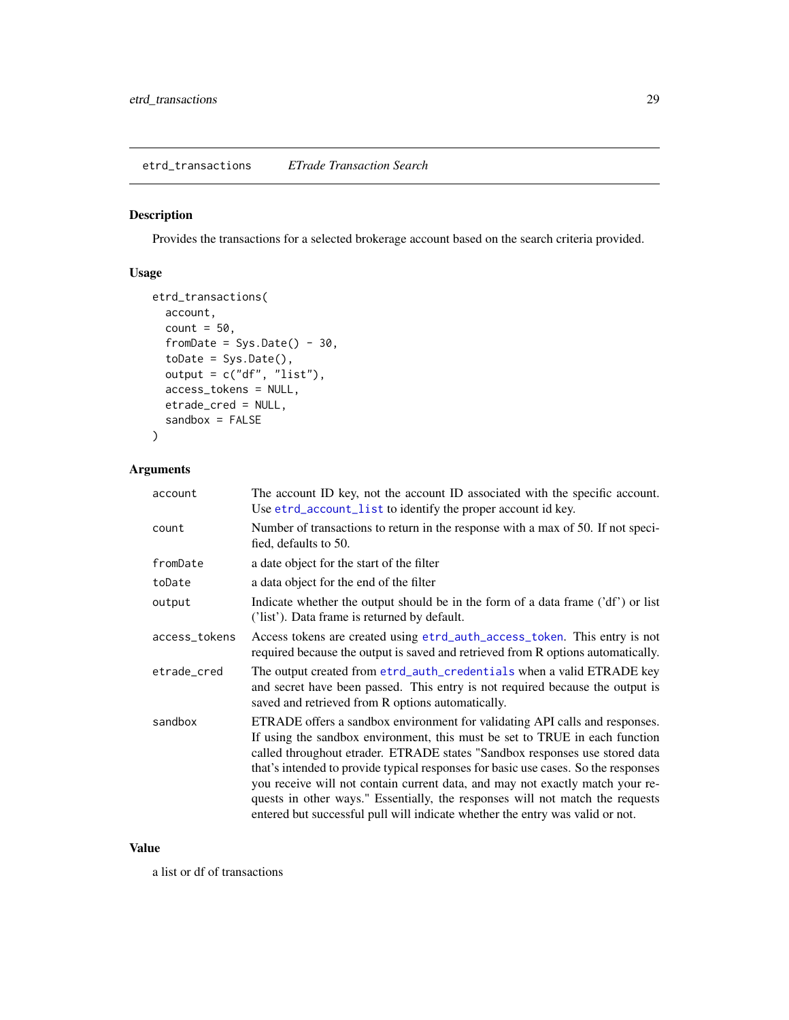<span id="page-28-1"></span><span id="page-28-0"></span>etrd\_transactions *ETrade Transaction Search*

#### Description

Provides the transactions for a selected brokerage account based on the search criteria provided.

# Usage

```
etrd_transactions(
  account,
 count = 50,
  fromDate = Sys.DataFrame() - 30,toDate = Sys.Date(),
 output = c("df", "list"),access_tokens = NULL,
 etrade_cred = NULL,
  sandbox = FALSE)
```
## Arguments

| account       | The account ID key, not the account ID associated with the specific account.<br>Use etrd_account_list to identify the proper account id key.                                                                                                                                                                                                                                                                                                                                                                                                                                       |
|---------------|------------------------------------------------------------------------------------------------------------------------------------------------------------------------------------------------------------------------------------------------------------------------------------------------------------------------------------------------------------------------------------------------------------------------------------------------------------------------------------------------------------------------------------------------------------------------------------|
| count         | Number of transactions to return in the response with a max of 50. If not speci-<br>fied, defaults to 50.                                                                                                                                                                                                                                                                                                                                                                                                                                                                          |
| fromDate      | a date object for the start of the filter                                                                                                                                                                                                                                                                                                                                                                                                                                                                                                                                          |
| toDate        | a data object for the end of the filter                                                                                                                                                                                                                                                                                                                                                                                                                                                                                                                                            |
| output        | Indicate whether the output should be in the form of a data frame ('df') or list<br>('list'). Data frame is returned by default.                                                                                                                                                                                                                                                                                                                                                                                                                                                   |
| access_tokens | Access tokens are created using etrd_auth_access_token. This entry is not<br>required because the output is saved and retrieved from R options automatically.                                                                                                                                                                                                                                                                                                                                                                                                                      |
| etrade_cred   | The output created from etrd_auth_credentials when a valid ETRADE key<br>and secret have been passed. This entry is not required because the output is<br>saved and retrieved from R options automatically.                                                                                                                                                                                                                                                                                                                                                                        |
| sandbox       | ETRADE offers a sandbox environment for validating API calls and responses.<br>If using the sandbox environment, this must be set to TRUE in each function<br>called throughout etrader. ETRADE states "Sandbox responses use stored data<br>that's intended to provide typical responses for basic use cases. So the responses<br>you receive will not contain current data, and may not exactly match your re-<br>quests in other ways." Essentially, the responses will not match the requests<br>entered but successful pull will indicate whether the entry was valid or not. |

#### Value

a list or df of transactions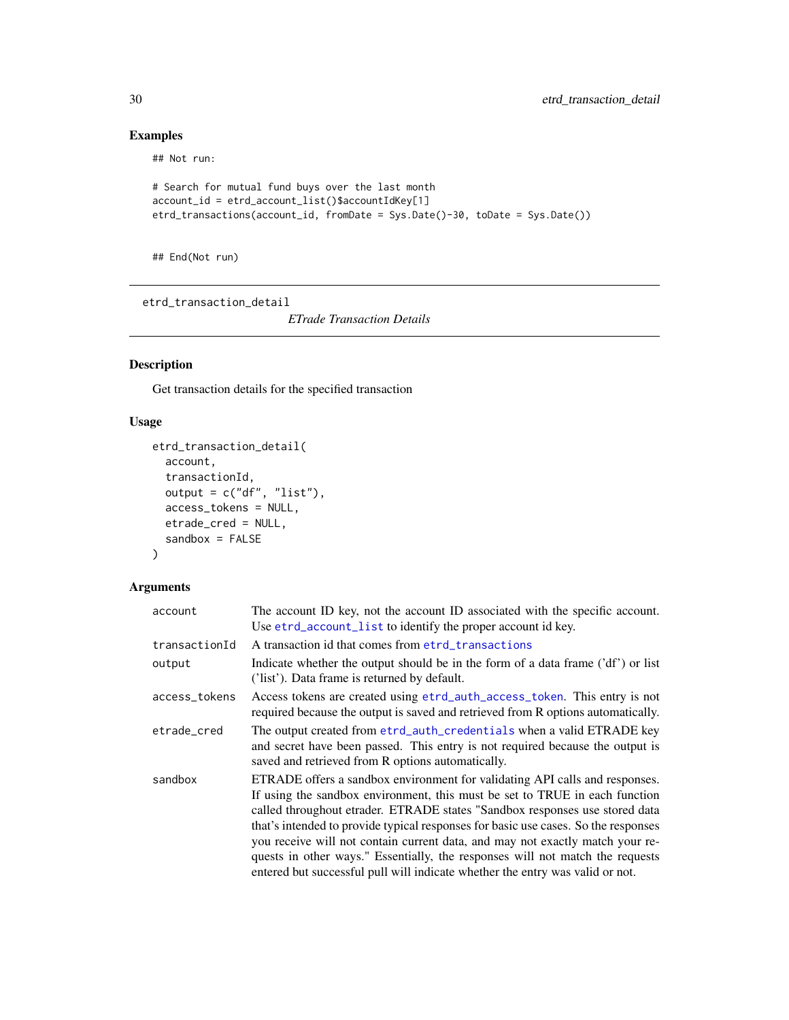# Examples

## Not run:

```
# Search for mutual fund buys over the last month
account_id = etrd_account_list()$accountIdKey[1]
etrd_transactions(account_id, fromDate = Sys.Date()-30, toDate = Sys.Date())
```
## End(Not run)

etrd\_transaction\_detail

*ETrade Transaction Details*

## Description

Get transaction details for the specified transaction

#### Usage

```
etrd_transaction_detail(
  account,
  transactionId,
  output = c("df", "list"),access_tokens = NULL,
  etrade_cred = NULL,
  sandbox = FALSE\mathcal{L}
```

| account       | The account ID key, not the account ID associated with the specific account.<br>Use etrd_account_list to identify the proper account id key.                                                                                                                                                                                                                                                                                                                                                                                                                                       |
|---------------|------------------------------------------------------------------------------------------------------------------------------------------------------------------------------------------------------------------------------------------------------------------------------------------------------------------------------------------------------------------------------------------------------------------------------------------------------------------------------------------------------------------------------------------------------------------------------------|
| transactionId | A transaction id that comes from etrd_transactions                                                                                                                                                                                                                                                                                                                                                                                                                                                                                                                                 |
| output        | Indicate whether the output should be in the form of a data frame ('df') or list<br>('list'). Data frame is returned by default.                                                                                                                                                                                                                                                                                                                                                                                                                                                   |
| access_tokens | Access tokens are created using etrd_auth_access_token. This entry is not<br>required because the output is saved and retrieved from R options automatically.                                                                                                                                                                                                                                                                                                                                                                                                                      |
| etrade cred   | The output created from etrd_auth_credentials when a valid ETRADE key<br>and secret have been passed. This entry is not required because the output is<br>saved and retrieved from R options automatically.                                                                                                                                                                                                                                                                                                                                                                        |
| sandbox       | ETRADE offers a sandbox environment for validating API calls and responses.<br>If using the sandbox environment, this must be set to TRUE in each function<br>called throughout etrader. ETRADE states "Sandbox responses use stored data<br>that's intended to provide typical responses for basic use cases. So the responses<br>you receive will not contain current data, and may not exactly match your re-<br>quests in other ways." Essentially, the responses will not match the requests<br>entered but successful pull will indicate whether the entry was valid or not. |

<span id="page-29-0"></span>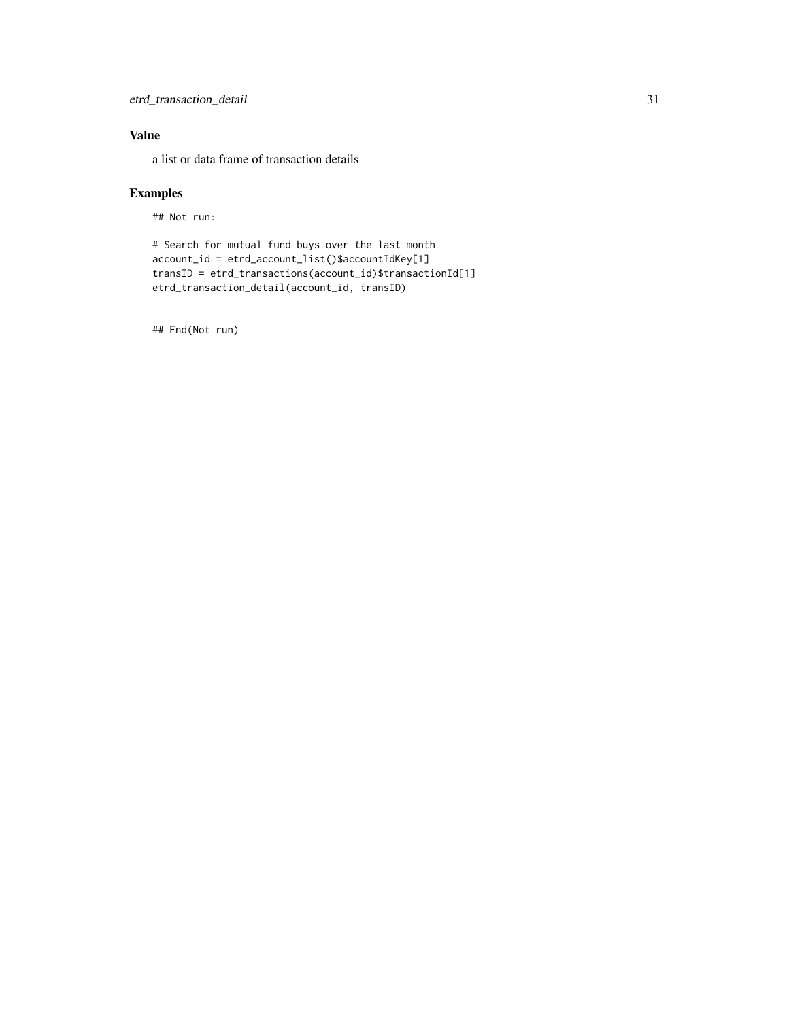a list or data frame of transaction details

## Examples

## Not run:

```
# Search for mutual fund buys over the last month
account_id = etrd_account_list()$accountIdKey[1]
transID = etrd_transactions(account_id)$transactionId[1]
etrd_transaction_detail(account_id, transID)
```
## End(Not run)